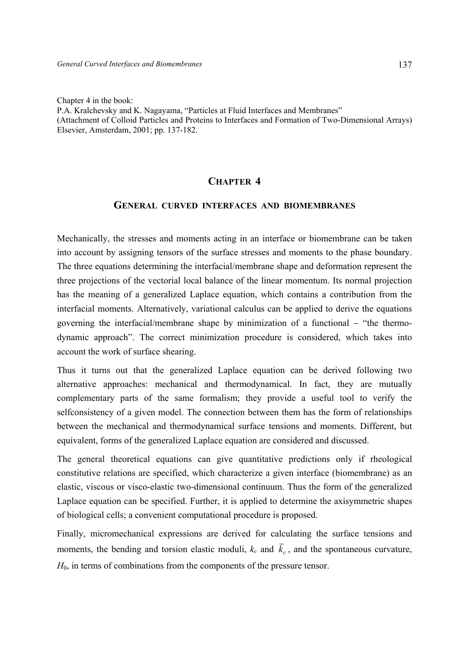Chapter 4 in the book:

P.A. Kralchevsky and K. Nagayama, "Particles at Fluid Interfaces and Membranes" (Attachment of Colloid Particles and Proteins to Interfaces and Formation of Two-Dimensional Arrays) Elsevier, Amsterdam, 2001; pp. 137-182.

# **CHAPTER 4**

# **GENERAL CURVED INTERFACES AND BIOMEMBRANES**

Mechanically, the stresses and moments acting in an interface or biomembrane can be taken into account by assigning tensors of the surface stresses and moments to the phase boundary. The three equations determining the interfacial/membrane shape and deformation represent the three projections of the vectorial local balance of the linear momentum. Its normal projection has the meaning of a generalized Laplace equation, which contains a contribution from the interfacial moments. Alternatively, variational calculus can be applied to derive the equations governing the interfacial/membrane shape by minimization of a functional – "the thermodynamic approach". The correct minimization procedure is considered, which takes into account the work of surface shearing.

Thus it turns out that the generalized Laplace equation can be derived following two alternative approaches: mechanical and thermodynamical. In fact, they are mutually complementary parts of the same formalism; they provide a useful tool to verify the selfconsistency of a given model. The connection between them has the form of relationships between the mechanical and thermodynamical surface tensions and moments. Different, but equivalent, forms of the generalized Laplace equation are considered and discussed.

The general theoretical equations can give quantitative predictions only if rheological constitutive relations are specified, which characterize a given interface (biomembrane) as an elastic, viscous or visco-elastic two-dimensional continuum. Thus the form of the generalized Laplace equation can be specified. Further, it is applied to determine the axisymmetric shapes of biological cells; a convenient computational procedure is proposed.

Finally, micromechanical expressions are derived for calculating the surface tensions and moments, the bending and torsion elastic moduli,  $k_c$  and  $\bar{k}_c$ , and the spontaneous curvature, *H*0, in terms of combinations from the components of the pressure tensor.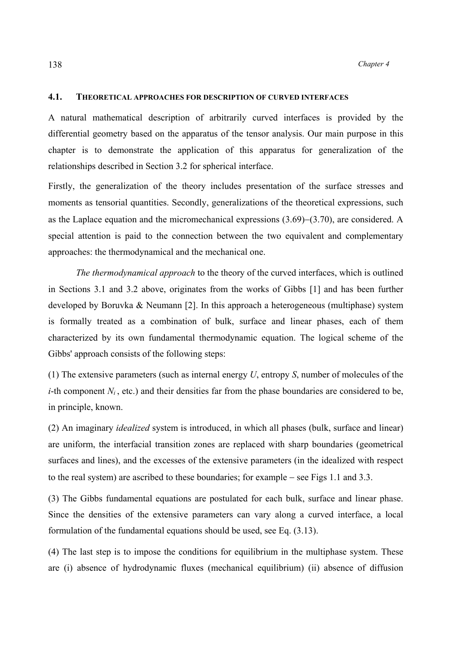## **4.1. THEORETICAL APPROACHES FOR DESCRIPTION OF CURVED INTERFACES**

A natural mathematical description of arbitrarily curved interfaces is provided by the differential geometry based on the apparatus of the tensor analysis. Our main purpose in this chapter is to demonstrate the application of this apparatus for generalization of the relationships described in Section 3.2 for spherical interface.

Firstly, the generalization of the theory includes presentation of the surface stresses and moments as tensorial quantities. Secondly, generalizations of the theoretical expressions, such as the Laplace equation and the micromechanical expressions (3.69)−(3.70), are considered. A special attention is paid to the connection between the two equivalent and complementary approaches: the thermodynamical and the mechanical one.

*The thermodynamical approach* to the theory of the curved interfaces, which is outlined in Sections 3.1 and 3.2 above, originates from the works of Gibbs [1] and has been further developed by Boruvka & Neumann [2]. In this approach a heterogeneous (multiphase) system is formally treated as a combination of bulk, surface and linear phases, each of them characterized by its own fundamental thermodynamic equation. The logical scheme of the Gibbs' approach consists of the following steps:

(1) The extensive parameters (such as internal energy *U*, entropy *S*, number of molecules of the *i*-th component  $N_i$ , etc.) and their densities far from the phase boundaries are considered to be, in principle, known.

(2) An imaginary *idealized* system is introduced, in which all phases (bulk, surface and linear) are uniform, the interfacial transition zones are replaced with sharp boundaries (geometrical surfaces and lines), and the excesses of the extensive parameters (in the idealized with respect to the real system) are ascribed to these boundaries; for example − see Figs 1.1 and 3.3.

(3) The Gibbs fundamental equations are postulated for each bulk, surface and linear phase. Since the densities of the extensive parameters can vary along a curved interface, a local formulation of the fundamental equations should be used, see Eq. (3.13).

(4) The last step is to impose the conditions for equilibrium in the multiphase system. These are (i) absence of hydrodynamic fluxes (mechanical equilibrium) (ii) absence of diffusion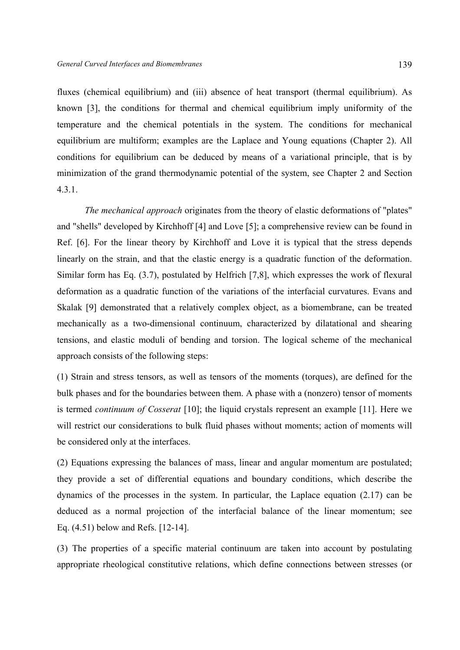fluxes (chemical equilibrium) and (iii) absence of heat transport (thermal equilibrium). As known [3], the conditions for thermal and chemical equilibrium imply uniformity of the temperature and the chemical potentials in the system. The conditions for mechanical equilibrium are multiform; examples are the Laplace and Young equations (Chapter 2). All conditions for equilibrium can be deduced by means of a variational principle, that is by minimization of the grand thermodynamic potential of the system, see Chapter 2 and Section 4.3.1.

 *The mechanical approach* originates from the theory of elastic deformations of "plates" and "shells" developed by Kirchhoff [4] and Love [5]; a comprehensive review can be found in Ref. [6]. For the linear theory by Kirchhoff and Love it is typical that the stress depends linearly on the strain, and that the elastic energy is a quadratic function of the deformation. Similar form has Eq. (3.7), postulated by Helfrich [7,8], which expresses the work of flexural deformation as a quadratic function of the variations of the interfacial curvatures. Evans and Skalak [9] demonstrated that a relatively complex object, as a biomembrane, can be treated mechanically as a two-dimensional continuum, characterized by dilatational and shearing tensions, and elastic moduli of bending and torsion. The logical scheme of the mechanical approach consists of the following steps:

(1) Strain and stress tensors, as well as tensors of the moments (torques), are defined for the bulk phases and for the boundaries between them. A phase with a (nonzero) tensor of moments is termed *continuum of Cosserat* [10]; the liquid crystals represent an example [11]. Here we will restrict our considerations to bulk fluid phases without moments; action of moments will be considered only at the interfaces.

(2) Equations expressing the balances of mass, linear and angular momentum are postulated; they provide a set of differential equations and boundary conditions, which describe the dynamics of the processes in the system. In particular, the Laplace equation (2.17) can be deduced as a normal projection of the interfacial balance of the linear momentum; see Eq. (4.51) below and Refs. [12-14].

(3) The properties of a specific material continuum are taken into account by postulating appropriate rheological constitutive relations, which define connections between stresses (or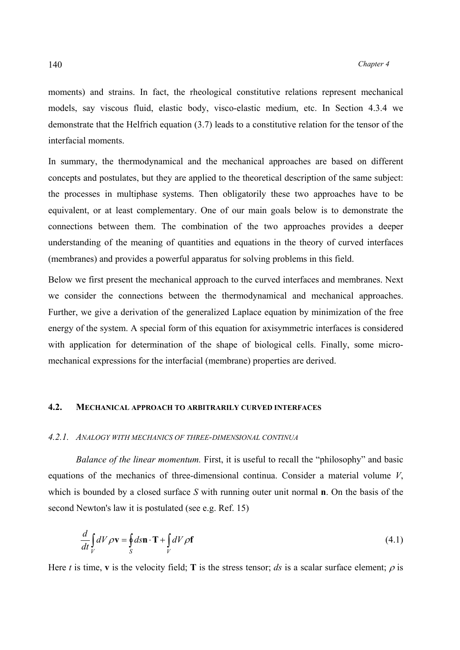moments) and strains. In fact, the rheological constitutive relations represent mechanical models, say viscous fluid, elastic body, visco-elastic medium, etc. In Section 4.3.4 we demonstrate that the Helfrich equation (3.7) leads to a constitutive relation for the tensor of the interfacial moments.

In summary, the thermodynamical and the mechanical approaches are based on different concepts and postulates, but they are applied to the theoretical description of the same subject: the processes in multiphase systems. Then obligatorily these two approaches have to be equivalent, or at least complementary. One of our main goals below is to demonstrate the connections between them. The combination of the two approaches provides a deeper understanding of the meaning of quantities and equations in the theory of curved interfaces (membranes) and provides a powerful apparatus for solving problems in this field.

Below we first present the mechanical approach to the curved interfaces and membranes. Next we consider the connections between the thermodynamical and mechanical approaches. Further, we give a derivation of the generalized Laplace equation by minimization of the free energy of the system. A special form of this equation for axisymmetric interfaces is considered with application for determination of the shape of biological cells. Finally, some micromechanical expressions for the interfacial (membrane) properties are derived.

# **4.2. MECHANICAL APPROACH TO ARBITRARILY CURVED INTERFACES**

# *4.2.1. ANALOGY WITH MECHANICS OF THREE-DIMENSIONAL CONTINUA*

 *Balance of the linear momentum.* First, it is useful to recall the "philosophy" and basic equations of the mechanics of three-dimensional continua. Consider a material volume *V*, which is bounded by a closed surface *S* with running outer unit normal **n**. On the basis of the second Newton's law it is postulated (see e.g. Ref. 15)

$$
\frac{d}{dt} \int_{V} dV \rho \mathbf{v} = \oint_{S} d\mathbf{s} \mathbf{n} \cdot \mathbf{T} + \int_{V} dV \rho \mathbf{f}
$$
\n(4.1)

Here *t* is time, **v** is the velocity field; **T** is the stress tensor; *ds* is a scalar surface element;  $\rho$  is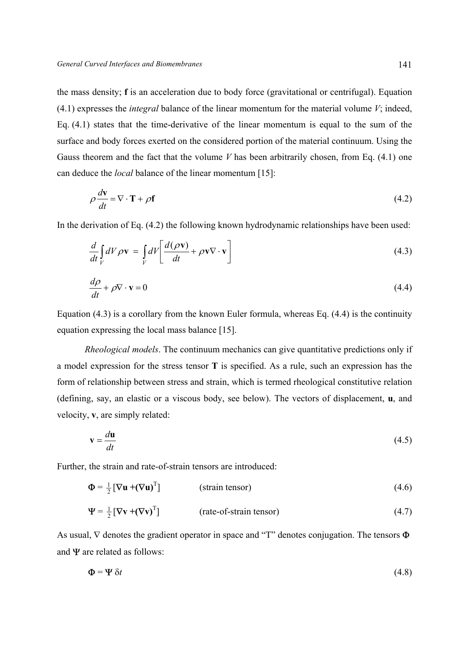the mass density; **f** is an acceleration due to body force (gravitational or centrifugal). Equation (4.1) expresses the *integral* balance of the linear momentum for the material volume *V*; indeed, Eq. (4.1) states that the time-derivative of the linear momentum is equal to the sum of the surface and body forces exerted on the considered portion of the material continuum. Using the Gauss theorem and the fact that the volume *V* has been arbitrarily chosen, from Eq. (4.1) one can deduce the *local* balance of the linear momentum [15]:

$$
\rho \frac{d\mathbf{v}}{dt} = \nabla \cdot \mathbf{T} + \rho \mathbf{f}
$$
\n(4.2)

In the derivation of Eq. (4.2) the following known hydrodynamic relationships have been used:

$$
\frac{d}{dt} \int\limits_V dV \rho \mathbf{v} = \int\limits_V dV \left[ \frac{d(\rho \mathbf{v})}{dt} + \rho \mathbf{v} \nabla \cdot \mathbf{v} \right]
$$
\n(4.3)

$$
\frac{d\rho}{dt} + \rho \nabla \cdot \mathbf{v} = 0\tag{4.4}
$$

Equation (4.3) is a corollary from the known Euler formula, whereas Eq. (4.4) is the continuity equation expressing the local mass balance [15].

 *Rheological models*. The continuum mechanics can give quantitative predictions only if a model expression for the stress tensor **T** is specified. As a rule, such an expression has the form of relationship between stress and strain, which is termed rheological constitutive relation (defining, say, an elastic or a viscous body, see below). The vectors of displacement, **u**, and velocity, **v**, are simply related:

$$
\mathbf{v} = \frac{d\mathbf{u}}{dt} \tag{4.5}
$$

Further, the strain and rate-of-strain tensors are introduced:

$$
\Phi = \frac{1}{2} [\nabla \mathbf{u} + (\nabla \mathbf{u})^{\mathrm{T}}]
$$
 (strain tensor)  
\n
$$
\Psi = \frac{1}{2} [\nabla \mathbf{v} + (\nabla \mathbf{v})^{\mathrm{T}}]
$$
 (rate-of-strain tensor) (4.7)

As usual,  $\nabla$  denotes the gradient operator in space and "T" denotes conjugation. The tensors  $\Phi$ and  $\Psi$  are related as follows:

$$
\Phi = \Psi \, \delta t \tag{4.8}
$$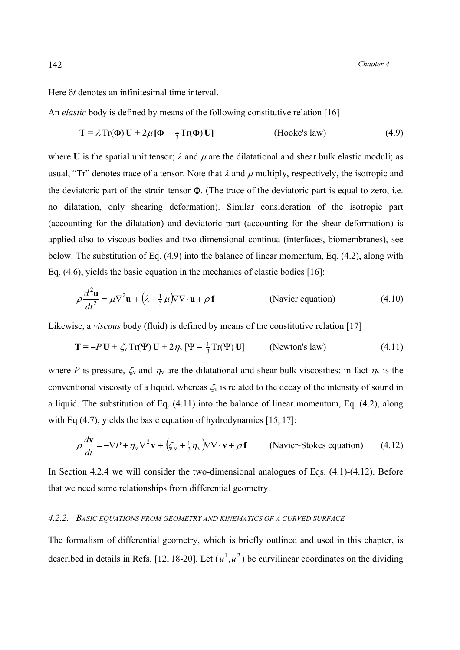Here δ*t* denotes an infinitesimal time interval.

An *elastic* body is defined by means of the following constitutive relation [16]

$$
\mathbf{T} = \lambda \operatorname{Tr}(\mathbf{\Phi}) \mathbf{U} + 2\mu [\mathbf{\Phi} - \frac{1}{3} \operatorname{Tr}(\mathbf{\Phi}) \mathbf{U}]
$$
 (Hooke's law) (4.9)

where U is the spatial unit tensor;  $\lambda$  and  $\mu$  are the dilatational and shear bulk elastic moduli; as usual, "Tr" denotes trace of a tensor. Note that  $\lambda$  and  $\mu$  multiply, respectively, the isotropic and the deviatoric part of the strain tensor  $\Phi$ . (The trace of the deviatoric part is equal to zero, i.e. no dilatation, only shearing deformation). Similar consideration of the isotropic part (accounting for the dilatation) and deviatoric part (accounting for the shear deformation) is applied also to viscous bodies and two-dimensional continua (interfaces, biomembranes), see below. The substitution of Eq. (4.9) into the balance of linear momentum, Eq. (4.2), along with Eq. (4.6), yields the basic equation in the mechanics of elastic bodies [16]:

$$
\rho \frac{d^2 \mathbf{u}}{dt^2} = \mu \nabla^2 \mathbf{u} + (\lambda + \frac{1}{3}\mu) \nabla \nabla \cdot \mathbf{u} + \rho \mathbf{f}
$$
 (Navier equation) (4.10)

Likewise, a *viscous* body (fluid) is defined by means of the constitutive relation [17]

$$
\mathbf{T} = -P \mathbf{U} + \zeta_v \operatorname{Tr}(\mathbf{\Psi}) \mathbf{U} + 2 \eta_v [\mathbf{\Psi} - \frac{1}{3} \operatorname{Tr}(\mathbf{\Psi}) \mathbf{U}] \qquad \text{(Newton's law)} \tag{4.11}
$$

where *P* is pressure,  $\zeta_v$  and  $\eta_v$  are the dilatational and shear bulk viscosities; in fact  $\eta_v$  is the conventional viscosity of a liquid, whereas  $\zeta_{\rm v}$  is related to the decay of the intensity of sound in a liquid. The substitution of Eq. (4.11) into the balance of linear momentum, Eq. (4.2), along with Eq (4.7), yields the basic equation of hydrodynamics [15, 17]:

$$
\rho \frac{d\mathbf{v}}{dt} = -\nabla P + \eta_{\text{v}} \nabla^2 \mathbf{v} + \left(\zeta_{\text{v}} + \frac{1}{3} \eta_{\text{v}}\right) \nabla \nabla \cdot \mathbf{v} + \rho \mathbf{f} \qquad \text{(Navier-Stokes equation)} \tag{4.12}
$$

In Section 4.2.4 we will consider the two-dimensional analogues of Eqs.  $(4.1)$ - $(4.12)$ . Before that we need some relationships from differential geometry.

#### *4.2.2. BASIC EQUATIONS FROM GEOMETRY AND KINEMATICS OF A CURVED SURFACE*

The formalism of differential geometry, which is briefly outlined and used in this chapter, is described in details in Refs. [12, 18-20]. Let  $(u^1, u^2)$  be curvilinear coordinates on the dividing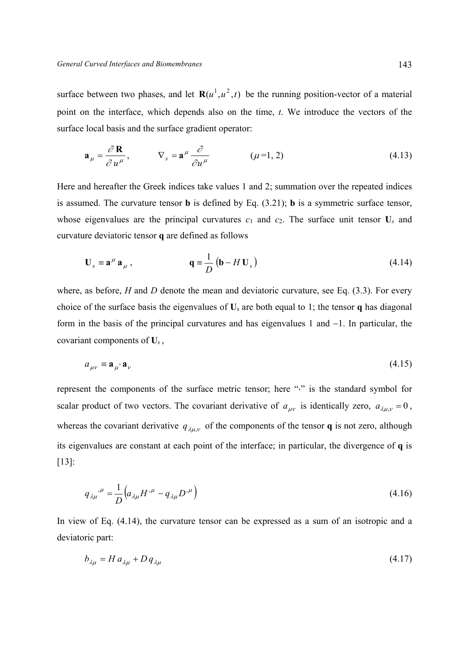surface between two phases, and let  $\mathbf{R}(u^1, u^2, t)$  be the running position-vector of a material point on the interface, which depends also on the time, *t*. We introduce the vectors of the surface local basis and the surface gradient operator:

$$
\mathbf{a}_{\mu} = \frac{\partial \mathbf{R}}{\partial u^{\mu}}, \qquad \nabla_{s} = \mathbf{a}^{\mu} \frac{\partial}{\partial u^{\mu}} \qquad (\mu = 1, 2)
$$
 (4.13)

Here and hereafter the Greek indices take values 1 and 2; summation over the repeated indices is assumed. The curvature tensor **b** is defined by Eq. (3.21); **b** is a symmetric surface tensor, whose eigenvalues are the principal curvatures  $c_1$  and  $c_2$ . The surface unit tensor  $U_s$  and curvature deviatoric tensor **q** are defined as follows

$$
\mathbf{U}_s \equiv \mathbf{a}^\mu \mathbf{a}_\mu , \qquad \qquad \mathbf{q} \equiv \frac{1}{D} \left( \mathbf{b} - H \mathbf{U}_s \right) \tag{4.14}
$$

where, as before, *H* and *D* denote the mean and deviatoric curvature, see Eq. (3.3). For every choice of the surface basis the eigenvalues of **U**s are both equal to 1; the tensor **q** has diagonal form in the basis of the principal curvatures and has eigenvalues 1 and −1. In particular, the covariant components of **U***<sup>s</sup>* ,

$$
a_{\mu\nu} \equiv \mathbf{a}_{\mu} \cdot \mathbf{a}_{\nu} \tag{4.15}
$$

represent the components of the surface metric tensor; here "⋅" is the standard symbol for scalar product of two vectors. The covariant derivative of  $a_{\mu\nu}$  is identically zero,  $a_{\lambda\mu,\nu} = 0$ , whereas the covariant derivative  $q_{\lambda\mu\nu}$  of the components of the tensor **q** is not zero, although its eigenvalues are constant at each point of the interface; in particular, the divergence of **q** is [13]:

$$
q_{\lambda\mu}^{\ \mu} = \frac{1}{D} \Big( a_{\lambda\mu} H^{\mu} - q_{\lambda\mu} D^{\mu} \Big) \tag{4.16}
$$

In view of Eq. (4.14), the curvature tensor can be expressed as a sum of an isotropic and a deviatoric part:

$$
b_{\lambda\mu} = H a_{\lambda\mu} + D q_{\lambda\mu} \tag{4.17}
$$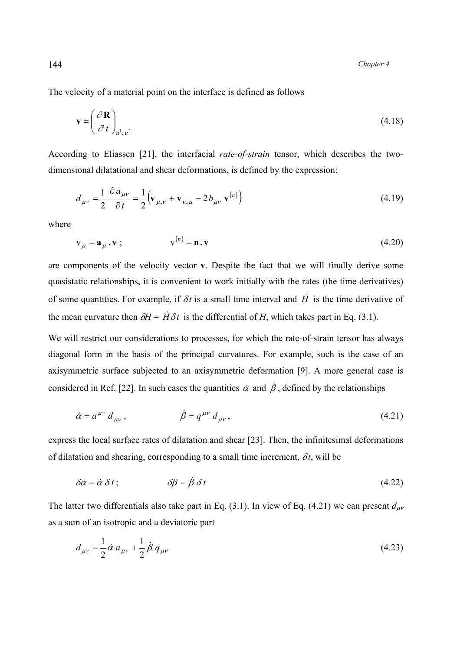The velocity of a material point on the interface is defined as follows

$$
\mathbf{v} = \left(\frac{\partial \mathbf{R}}{\partial t}\right)_{u^1, u^2} \tag{4.18}
$$

According to Еliassen [21], the interfacial *rate-of-strain* tensor, which describes the twodimensional dilatational and shear deformations, is defined by the expression:

$$
d_{\mu\nu} = \frac{1}{2} \frac{\partial a_{\mu\nu}}{\partial t} = \frac{1}{2} \Big( \mathbf{v}_{\mu,\nu} + \mathbf{v}_{\nu,\mu} - 2 b_{\mu\nu} \mathbf{v}^{(n)} \Big)
$$
(4.19)

where

$$
\mathbf{v}_{\mu} = \mathbf{a}_{\mu} \cdot \mathbf{v} \tag{4.20}
$$

are components of the velocity vector **v**. Despite the fact that we will finally derive some quasistatic relationships, it is convenient to work initially with the rates (the time derivatives) of some quantities. For example, if  $\delta t$  is a small time interval and  $\dot{H}$  is the time derivative of the mean curvature then  $\delta H = \dot{H} \delta t$  is the differential of *H*, which takes part in Eq. (3.1).

We will restrict our considerations to processes, for which the rate-of-strain tensor has always diagonal form in the basis of the principal curvatures. For example, such is the case of an axisymmetric surface subjected to an axisymmetric deformation [9]. A more general case is considered in Ref. [22]. In such cases the quantities  $\dot{\alpha}$  and  $\dot{\beta}$ , defined by the relationships

$$
\dot{\alpha} = a^{\mu\nu} d_{\mu\nu}, \qquad \dot{\beta} = q^{\mu\nu} d_{\mu\nu}, \qquad (4.21)
$$

express the local surface rates of dilatation and shear [23]. Then, the infinitesimal deformations of dilatation and shearing, corresponding to a small time increment,  $\delta t$ , will be

$$
\delta \alpha = \dot{\alpha} \, \delta \, t \, ; \qquad \qquad \delta \beta = \dot{\beta} \, \delta \, t \tag{4.22}
$$

The latter two differentials also take part in Eq. (3.1). In view of Eq. (4.21) we can present  $d_{\mu\nu}$ as a sum of an isotropic and a deviatoric part

$$
d_{\mu\nu} = \frac{1}{2} \dot{\alpha} \, a_{\mu\nu} + \frac{1}{2} \dot{\beta} \, q_{\mu\nu} \tag{4.23}
$$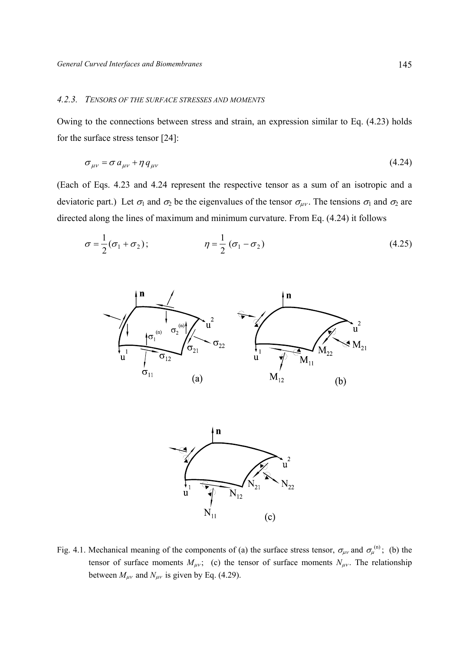# *4.2.3. TENSORS OF THE SURFACE STRESSES AND MOMENTS*

Owing to the connections between stress and strain, an expression similar to Eq. (4.23) holds for the surface stress tensor [24]:

$$
\sigma_{\mu\nu} = \sigma a_{\mu\nu} + \eta q_{\mu\nu} \tag{4.24}
$$

(Each of Eqs. 4.23 and 4.24 represent the respective tensor as a sum of an isotropic and a deviatoric part.) Let  $\sigma_1$  and  $\sigma_2$  be the eigenvalues of the tensor  $\sigma_{\mu\nu}$ . The tensions  $\sigma_1$  and  $\sigma_2$  are directed along the lines of maximum and minimum curvature. From Eq. (4.24) it follows

$$
\sigma = \frac{1}{2}(\sigma_1 + \sigma_2); \qquad \eta = \frac{1}{2}(\sigma_1 - \sigma_2)
$$
\n(4.25)





Fig. 4.1. Mechanical meaning of the components of (a) the surface stress tensor,  $\sigma_{\mu\nu}$  and  $\sigma_{\mu}^{(n)}$ ; (b) the tensor of surface moments  $M_{\mu\nu}$ ; (c) the tensor of surface moments  $N_{\mu\nu}$ . The relationship between  $M_{\mu\nu}$  and  $N_{\mu\nu}$  is given by Eq. (4.29).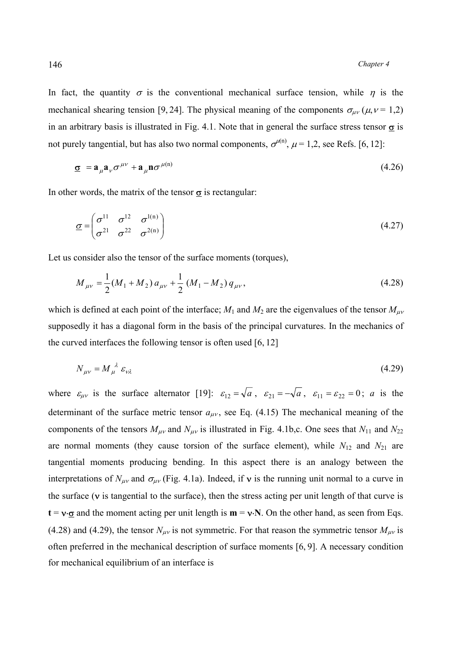In fact, the quantity  $\sigma$  is the conventional mechanical surface tension, while  $\eta$  is the mechanical shearing tension [9, 24]. The physical meaning of the components  $\sigma_{\mu\nu}(\mu, \nu = 1, 2)$ in an arbitrary basis is illustrated in Fig. 4.1. Note that in general the surface stress tensor  $\sigma$  is not purely tangential, but has also two normal components,  $\sigma^{\mu(n)}$ ,  $\mu = 1, 2$ , see Refs. [6, 12]:

$$
\underline{\sigma} = \mathbf{a}_{\mu} \mathbf{a}_{\nu} \sigma^{\mu \nu} + \mathbf{a}_{\mu} \mathbf{n} \sigma^{\mu(n)}
$$
(4.26)

In other words, the matrix of the tensor  $\sigma$  is rectangular:

$$
\underline{\sigma} = \begin{pmatrix} \sigma^{11} & \sigma^{12} & \sigma^{1(n)} \\ \sigma^{21} & \sigma^{22} & \sigma^{2(n)} \end{pmatrix}
$$
 (4.27)

Let us consider also the tensor of the surface moments (torques),

$$
M_{\mu\nu} = \frac{1}{2}(M_1 + M_2) a_{\mu\nu} + \frac{1}{2}(M_1 - M_2) q_{\mu\nu},
$$
\n(4.28)

which is defined at each point of the interface;  $M_1$  and  $M_2$  are the eigenvalues of the tensor  $M_{\mu\nu}$ supposedly it has a diagonal form in the basis of the principal curvatures. In the mechanics of the curved interfaces the following tensor is often used [6, 12]

$$
N_{\mu\nu} = M_{\mu}^{\ \lambda} \ \varepsilon_{\nu\lambda} \tag{4.29}
$$

where  $\varepsilon_{\mu\nu}$  is the surface alternator [19]:  $\varepsilon_{12} = \sqrt{a}$ ,  $\varepsilon_{21} = -\sqrt{a}$ ,  $\varepsilon_{11} = \varepsilon_{22} = 0$ ; *a* is the determinant of the surface metric tensor  $a_{\mu\nu}$ , see Eq. (4.15) The mechanical meaning of the components of the tensors  $M_{\mu\nu}$  and  $N_{\mu\nu}$  is illustrated in Fig. 4.1b,c. One sees that  $N_{11}$  and  $N_{22}$ are normal moments (they cause torsion of the surface element), while  $N_{12}$  and  $N_{21}$  are tangential moments producing bending. In this aspect there is an analogy between the interpretations of  $N_{\mu\nu}$  and  $\sigma_{\mu\nu}$  (Fig. 4.1a). Indeed, if **v** is the running unit normal to a curve in the surface ( $\nu$  is tangential to the surface), then the stress acting per unit length of that curve is  $t = v \cdot \sigma$  and the moment acting per unit length is  $m = v \cdot N$ . On the other hand, as seen from Eqs. (4.28) and (4.29), the tensor  $N_{\mu\nu}$  is not symmetric. For that reason the symmetric tensor  $M_{\mu\nu}$  is often preferred in the mechanical description of surface moments [6, 9]. A necessary condition for mechanical equilibrium of an interface is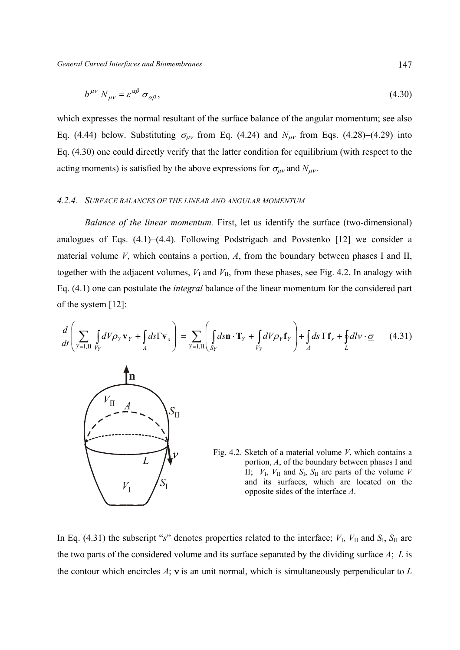$$
b^{\mu\nu} N_{\mu\nu} = \varepsilon^{\alpha\beta} \sigma_{\alpha\beta},\tag{4.30}
$$

which expresses the normal resultant of the surface balance of the angular momentum; see also Eq. (4.44) below. Substituting  $\sigma_{\mu\nu}$  from Eq. (4.24) and  $N_{\mu\nu}$  from Eqs. (4.28)–(4.29) into Eq. (4.30) one could directly verify that the latter condition for equilibrium (with respect to the acting moments) is satisfied by the above expressions for  $\sigma_{\mu\nu}$  and  $N_{\mu\nu}$ .

## *4.2.4. SURFACE BALANCES OF THE LINEAR AND ANGULAR MOMENTUM*

*Balance of the linear momentum.* First, let us identify the surface (two-dimensional) analogues of Eqs. (4.1)−(4.4). Following Podstrigach and Povstenko [12] we consider a material volume *V*, which contains a portion, *А*, from the boundary between phases I and II, together with the adjacent volumes,  $V_I$  and  $V_{II}$ , from these phases, see Fig. 4.2. In analogy with Eq. (4.1) one can postulate the *integral* balance of the linear momentum for the considered part of the system [12]:

$$
\frac{d}{dt}\left(\sum_{Y=\mathbf{I},\mathbf{II}}\int_{V_Y}dV\rho_Y\mathbf{v}_Y+\int_A d\mathbf{s}\Gamma\mathbf{v}_s\right)=\sum_{Y=\mathbf{I},\mathbf{II}}\left(\int_{S_Y}d\mathbf{s}\mathbf{n}\cdot\mathbf{T}_Y+\int_{V_Y}dV\rho_Y\mathbf{f}_Y\right)+\int_A d\mathbf{s}\,\Gamma\mathbf{f}_s+\oint_L dl\nu\cdot\underline{\boldsymbol{\sigma}}\qquad(4.31)
$$



Fig. 4.2. Sketch of a material volume *V*, which contains a portion, *А*, of the boundary between phases I and II;  $V_{\text{I}}$ ,  $V_{\text{II}}$  and  $S_{\text{I}}$ ,  $S_{\text{II}}$  are parts of the volume *V* and its surfaces, which are located on the opposite sides of the interface *A*.

In Eq. (4.31) the subscript "*s*" denotes properties related to the interface;  $V_I$ ,  $V_{II}$  and  $S_I$ ,  $S_{II}$  are the two parts of the considered volume and its surface separated by the dividing surface *A*; *L* is the contour which encircles *А*; ν is an unit normal, which is simultaneously perpendicular to *L*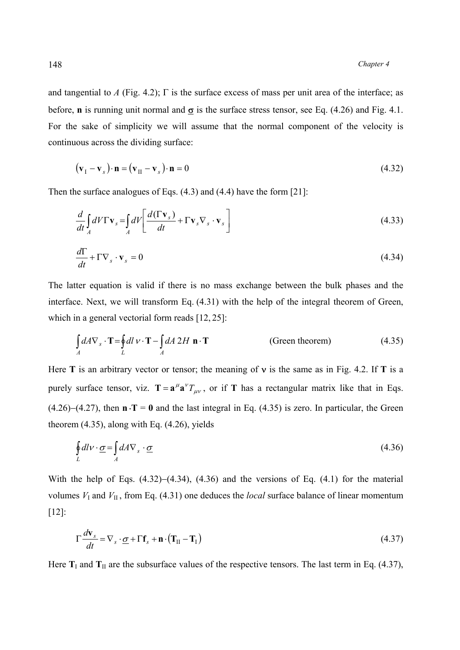and tangential to *A* (Fig. 4.2);  $\Gamma$  is the surface excess of mass per unit area of the interface; as before, **n** is running unit normal and  $\sigma$  is the surface stress tensor, see Eq. (4.26) and Fig. 4.1. For the sake of simplicity we will assume that the normal component of the velocity is continuous across the dividing surface:

$$
(\mathbf{v}_I - \mathbf{v}_s) \cdot \mathbf{n} = (\mathbf{v}_{II} - \mathbf{v}_s) \cdot \mathbf{n} = 0 \tag{4.32}
$$

Then the surface analogues of Eqs. (4.3) and (4.4) have the form [21]:

$$
\frac{d}{dt} \int_{A} dV \Gamma \mathbf{v}_s = \int_{A} dV \left[ \frac{d(\Gamma \mathbf{v}_s)}{dt} + \Gamma \mathbf{v}_s \nabla_s \cdot \mathbf{v}_s \right]
$$
\n(4.33)

$$
\frac{d\Gamma}{dt} + \Gamma \nabla_s \cdot \mathbf{v}_s = 0 \tag{4.34}
$$

The latter equation is valid if there is no mass exchange between the bulk phases and the interface. Next, we will transform Eq. (4.31) with the help of the integral theorem of Green, which in a general vectorial form reads [12, 25]:

$$
\int_{A} dA \nabla_s \cdot \mathbf{T} = \oint_{L} dl \, v \cdot \mathbf{T} - \int_{A} dA \, 2H \, \mathbf{n} \cdot \mathbf{T}
$$
 (Green theorem) (4.35)

Here **Т** is an arbitrary vector or tensor; the meaning of ν is the same as in Fig. 4.2. If **Т** is a purely surface tensor, viz.  $T = a^{\mu} a^{\nu} T_{\mu\nu}$ , or if T has a rectangular matrix like that in Eqs. (4.26)−(4.27), then **n** ⋅**T** = **0** and the last integral in Eq. (4.35) is zero. In particular, the Green theorem (4.35), along with Eq. (4.26), yields

$$
\oint_{L} dl \mathbf{v} \cdot \underline{\boldsymbol{\sigma}} = \int_{A} dA \nabla_{s} \cdot \underline{\boldsymbol{\sigma}} \tag{4.36}
$$

With the help of Eqs.  $(4.32)$ − $(4.34)$ ,  $(4.36)$  and the versions of Eq.  $(4.1)$  for the material volumes  $V_I$  and  $V_{II}$ , from Eq. (4.31) one deduces the *local* surface balance of linear momentum [12]:

$$
\Gamma \frac{d\mathbf{v}_s}{dt} = \nabla_s \cdot \underline{\sigma} + \Gamma \mathbf{f}_s + \mathbf{n} \cdot (\mathbf{T}_{II} - \mathbf{T}_I) \tag{4.37}
$$

Here  $T_I$  and  $T_{II}$  are the subsurface values of the respective tensors. The last term in Eq. (4.37),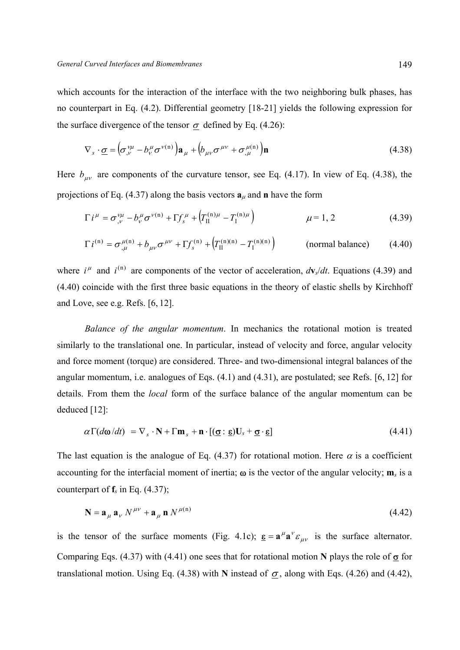which accounts for the interaction of the interface with the two neighboring bulk phases, has no counterpart in Eq. (4.2). Differential geometry [18-21] yields the following expression for the surface divergence of the tensor  $\sigma$  defined by Eq. (4.26):

$$
\nabla_s \cdot \underline{\sigma} = \left(\sigma_{,\nu}^{\nu\mu} - b_{\nu}^{\mu} \sigma^{\nu(n)}\right) \mathbf{a}_{\mu} + \left(b_{\mu\nu} \sigma^{\mu\nu} + \sigma_{,\mu}^{\mu(n)}\right) \mathbf{n}
$$
(4.38)

Here  $b_{\mu\nu}$  are components of the curvature tensor, see Eq. (4.17). In view of Eq. (4.38), the projections of Eq. (4.37) along the basis vectors  $\mathbf{a}_{\mu}$  and **n** have the form

$$
\Gamma i^{\mu} = \sigma_{,\nu}^{\nu\mu} - b_{\nu}^{\mu} \sigma^{\nu(n)} + \Gamma f_{s}^{\mu} + \left( T_{II}^{(n)\mu} - T_{I}^{(n)\mu} \right) \qquad \mu = 1, 2 \qquad (4.39)
$$

$$
\Gamma i^{(n)} = \sigma_{,\mu}^{\mu(n)} + b_{\mu\nu} \sigma^{\mu\nu} + \Gamma f_s^{(n)} + \left( T_{II}^{(n)(n)} - T_{I}^{(n)(n)} \right) \quad (normal balance) \quad (4.40)
$$

where  $i^{\mu}$  and  $i^{(n)}$  are components of the vector of acceleration,  $d\mathbf{v}_s/dt$ . Equations (4.39) and (4.40) coincide with the first three basic equations in the theory of elastic shells by Kirchhoff and Love, see e.g. Refs. [6, 12].

 *Balance of the angular momentum*. In mechanics the rotational motion is treated similarly to the translational one. In particular, instead of velocity and force, angular velocity and force moment (torque) are considered. Three- and two-dimensional integral balances of the angular momentum, i.e. analogues of Eqs. (4.1) and (4.31), are postulated; see Refs. [6, 12] for details. From them the *local* form of the surface balance of the angular momentum can be deduced [12]:

$$
\alpha \Gamma(d\mathbf{\omega}/dt) = \nabla_s \cdot \mathbf{N} + \Gamma \mathbf{m}_s + \mathbf{n} \cdot [(\mathbf{\underline{\sigma}} : \mathbf{\underline{\epsilon}}) \mathbf{U}_s + \mathbf{\underline{\sigma}} \cdot \mathbf{\underline{\epsilon}}]
$$
(4.41)

The last equation is the analogue of Eq. (4.37) for rotational motion. Here  $\alpha$  is a coefficient accounting for the interfacial moment of inertia;  $\omega$  is the vector of the angular velocity;  $\mathbf{m}_s$  is a counterpart of  $f_s$  in Eq. (4.37);

$$
\mathbf{N} = \mathbf{a}_{\mu} \mathbf{a}_{\nu} N^{\mu \nu} + \mathbf{a}_{\mu} \mathbf{n} N^{\mu(n)}
$$
(4.42)

is the tensor of the surface moments (Fig. 4.1c);  $\underline{\epsilon} = \mathbf{a}^{\mu} \mathbf{a}^{\nu} \varepsilon_{\mu\nu}$  is the surface alternator. Comparing Eqs. (4.37) with (4.41) one sees that for rotational motion **N** plays the role of σ for translational motion. Using Eq. (4.38) with **N** instead of  $\sigma$ , along with Eqs. (4.26) and (4.42),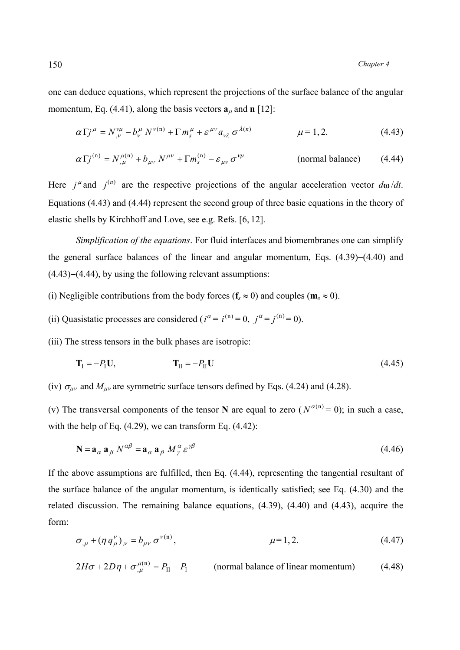one can deduce equations, which represent the projections of the surface balance of the angular momentum, Eq.  $(4.41)$ , along the basis vectors  $\mathbf{a}_{\mu}$  and **n** [12]:

$$
\alpha \Gamma j^{\mu} = N^{\nu \mu}_{,\nu} - b^{\mu}_{\nu} N^{\nu(n)} + \Gamma m^{\mu}_{s} + \varepsilon^{\mu \nu} a_{\nu \lambda} \sigma^{\lambda(n)} \qquad \mu = 1, 2. \qquad (4.43)
$$

$$
\alpha \Gamma j^{(n)} = N_{,\mu}^{\mu(n)} + b_{\mu\nu} N^{\mu\nu} + \Gamma m_s^{(n)} - \varepsilon_{\mu\nu} \sigma^{\nu\mu} \qquad (normal balance) \qquad (4.44)
$$

Here  $j^{\mu}$  and  $j^{(n)}$  are the respective projections of the angular acceleration vector  $d\omega/dt$ . Equations (4.43) and (4.44) represent the second group of three basic equations in the theory of elastic shells by Kirchhoff and Love, see e.g. Refs. [6, 12].

 *Simplification of the equations*. For fluid interfaces and biomembranes one can simplify the general surface balances of the linear and angular momentum, Eqs. (4.39)−(4.40) and (4.43)−(4.44), by using the following relevant assumptions:

- (i) Negligible contributions from the body forces ( $f_s \approx 0$ ) and couples ( $m_s \approx 0$ ).
- (ii) Quasistatic processes are considered ( $i^{\alpha} = i^{(n)} = 0$ ,  $j^{\alpha} = j^{(n)} = 0$ ).

(iii) The stress tensors in the bulk phases are isotropic:

$$
\mathbf{T}_{\rm I} = -P_{\rm I}\mathbf{U},\tag{4.45}
$$

(iv)  $\sigma_{\mu\nu}$  and  $M_{\mu\nu}$  are symmetric surface tensors defined by Eqs. (4.24) and (4.28).

(v) The transversal components of the tensor **N** are equal to zero ( $N^{\alpha(n)} = 0$ ); in such a case, with the help of Eq.  $(4.29)$ , we can transform Eq.  $(4.42)$ :

$$
\mathbf{N} = \mathbf{a}_{\alpha} \mathbf{a}_{\beta} N^{\alpha\beta} = \mathbf{a}_{\alpha} \mathbf{a}_{\beta} M^{\alpha}_{\gamma} \varepsilon^{\gamma\beta} \tag{4.46}
$$

If the above assumptions are fulfilled, then Eq. (4.44), representing the tangential resultant of the surface balance of the angular momentum, is identically satisfied; see Eq. (4.30) and the related discussion. The remaining balance equations, (4.39), (4.40) and (4.43), acquire the form:

$$
\sigma_{,\mu} + (\eta \, q_{\mu}^{\nu})_{,\nu} = b_{\mu\nu} \, \sigma^{\nu(n)}, \qquad \mu = 1, 2. \tag{4.47}
$$

$$
2H\sigma + 2D\eta + \sigma_{\mu}^{\mu(n)} = P_{II} - P_{I}
$$
 (normal balance of linear momentum) (4.48)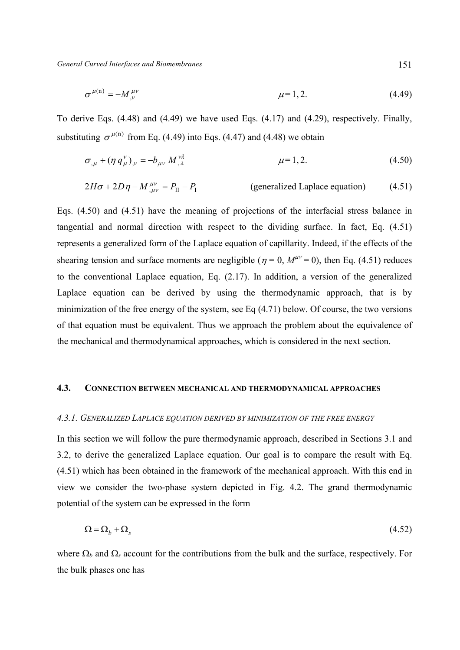$$
\sigma^{\mu(n)} = -M^{\mu\nu}_{,\nu} \qquad \mu = 1, 2. \tag{4.49}
$$

To derive Eqs. (4.48) and (4.49) we have used Eqs. (4.17) and (4.29), respectively. Finally, substituting  $\sigma^{\mu(n)}$  from Eq. (4.49) into Eqs. (4.47) and (4.48) we obtain

$$
\sigma_{,\mu} + (\eta \, q_{\mu}^{V})_{,\nu} = -b_{\mu\nu} \, M_{,\lambda}^{V\lambda} \qquad \mu = 1, 2. \qquad (4.50)
$$

$$
2H\sigma + 2D\eta - M^{\mu\nu}_{,\mu\nu} = P_{II} - P_{I}
$$
 (generalized Laplace equation) (4.51)

Eqs. (4.50) and (4.51) have the meaning of projections of the interfacial stress balance in tangential and normal direction with respect to the dividing surface. In fact, Eq. (4.51) represents a generalized form of the Laplace equation of capillarity. Indeed, if the effects of the shearing tension and surface moments are negligible ( $\eta = 0$ ,  $M^{\mu\nu} = 0$ ), then Eq. (4.51) reduces to the conventional Laplace equation, Eq. (2.17). In addition, a version of the generalized Laplace equation can be derived by using the thermodynamic approach, that is by minimization of the free energy of the system, see Eq (4.71) below. Of course, the two versions of that equation must be equivalent. Thus we approach the problem about the equivalence of the mechanical and thermodynamical approaches, which is considered in the next section.

# **4.3. CONNECTION BETWEEN MECHANICAL AND THERMODYNAMICAL APPROACHES**

#### *4.3.1. GENERALIZED LAPLACE EQUATION DERIVED BY MINIMIZATION OF THE FREE ENERGY*

In this section we will follow the pure thermodynamic approach, described in Sections 3.1 and 3.2, to derive the generalized Laplace equation. Our goal is to compare the result with Eq. (4.51) which has been obtained in the framework of the mechanical approach. With this end in view we consider the two-phase system depicted in Fig. 4.2. The grand thermodynamic potential of the system can be expressed in the form

$$
\Omega = \Omega_b + \Omega_s \tag{4.52}
$$

where  $\Omega_b$  and  $\Omega_s$  account for the contributions from the bulk and the surface, respectively. For the bulk phases one has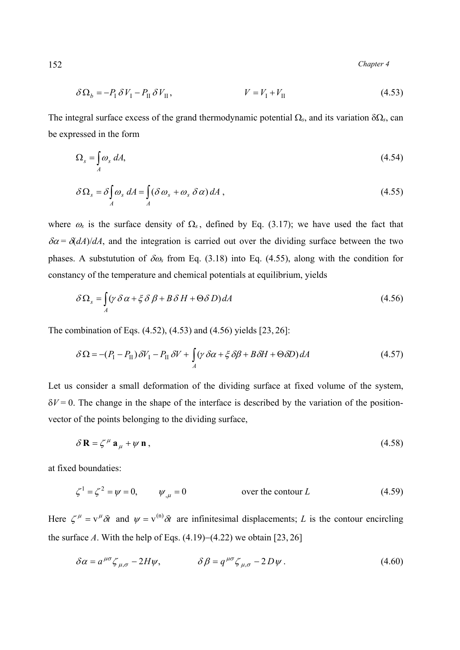152 *Chapter 4* 

$$
\delta \Omega_b = -P_{\rm I} \delta V_{\rm I} - P_{\rm II} \delta V_{\rm II}, \qquad V = V_{\rm I} + V_{\rm II} \tag{4.53}
$$

The integral surface excess of the grand thermodynamic potential Ω*s*, and its variation δΩ*s*, can be expressed in the form

$$
\Omega_s = \int_A \omega_s \, dA,\tag{4.54}
$$

$$
\delta\Omega_s = \delta \int_A \omega_s \, dA = \int_A (\delta \omega_s + \omega_s \, \delta \alpha) \, dA \,,\tag{4.55}
$$

where  $\omega_s$  is the surface density of  $\Omega_s$ , defined by Eq. (3.17); we have used the fact that  $\delta \alpha = \delta (dA)/dA$ , and the integration is carried out over the dividing surface between the two phases. A substutution of δω*s* from Eq. (3.18) into Eq. (4.55), along with the condition for constancy of the temperature and chemical potentials at equilibrium, yields

$$
\delta\Omega_s = \int_A (\gamma \delta \alpha + \xi \delta \beta + B \delta H + \Theta \delta D) dA \tag{4.56}
$$

The combination of Eqs. (4.52), (4.53) and (4.56) yields [23, 26]:

$$
\delta \Omega = -(P_{\rm I} - P_{\rm II}) \delta V_{\rm I} - P_{\rm II} \delta V + \int_A (\gamma \delta \alpha + \xi \delta \beta + B \delta H + \Theta \delta D) dA \tag{4.57}
$$

Let us consider a small deformation of the dividing surface at fixed volume of the system,  $\delta V = 0$ . The change in the shape of the interface is described by the variation of the positionvector of the points belonging to the dividing surface,

$$
\delta \mathbf{R} = \zeta^{\mu} \mathbf{a}_{\mu} + \psi \mathbf{n} \,, \tag{4.58}
$$

at fixed boundaties:

$$
\zeta^1 = \zeta^2 = \psi = 0, \qquad \psi_{,\mu} = 0 \qquad \text{over the contour } L \tag{4.59}
$$

Here  $\zeta^{\mu} = v^{\mu} \delta t$  and  $\psi = v^{(n)} \delta t$  are infinitesimal displacements; *L* is the contour encircling the surface *А*. With the help of Eqs. (4.19)−(4.22) we obtain [23, 26]

$$
\delta \alpha = a^{\mu\sigma} \zeta_{\mu,\sigma} - 2H\psi, \qquad \delta \beta = q^{\mu\sigma} \zeta_{\mu,\sigma} - 2D\psi. \tag{4.60}
$$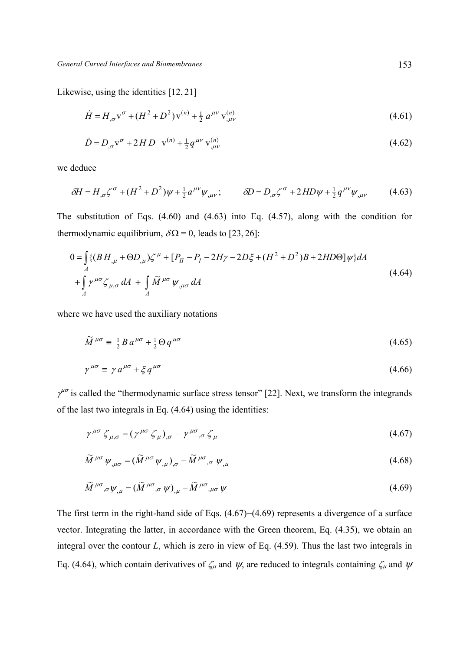Likewise, using the identities [12, 21]

$$
\dot{H} = H_{,\sigma} \mathbf{v}^{\sigma} + (H^2 + D^2) \mathbf{v}^{(n)} + \frac{1}{2} a^{\mu \nu} \mathbf{v}^{(n)}_{,\mu \nu}
$$
(4.61)

$$
\dot{D} = D_{,\sigma} \mathbf{v}^{\sigma} + 2HD \mathbf{v}^{(n)} + \frac{1}{2} q^{\mu \nu} \mathbf{v}^{(n)}_{,\mu \nu}
$$
\n(4.62)

we deduce

$$
\delta H = H_{,\sigma} \zeta^{\sigma} + (H^2 + D^2) \psi + \frac{1}{2} a^{\mu \nu} \psi_{,\mu \nu}; \qquad \delta D = D_{,\sigma} \zeta^{\sigma} + 2 H D \psi + \frac{1}{2} q^{\mu \nu} \psi_{,\mu \nu}
$$
(4.63)

The substitution of Eqs. (4.60) and (4.63) into Eq. (4.57), along with the condition for thermodynamic equilibrium,  $\delta \Omega = 0$ , leads to [23, 26]:

$$
0 = \int_{A} \{ (BH_{,\mu} + \Theta D_{,\mu})\zeta^{\mu} + [P_{II} - P_{I} - 2H\gamma - 2D\xi + (H^{2} + D^{2})B + 2HD\Theta]\psi \} dA
$$
  
+ 
$$
\int_{A} \gamma^{\mu\sigma}\zeta_{\mu,\sigma} dA + \int_{A} \widetilde{M}^{\mu\sigma}\psi_{,\mu\sigma} dA
$$
 (4.64)

where we have used the auxiliary notations

$$
\widetilde{M}^{\mu\sigma} \equiv \frac{1}{2} B a^{\mu\sigma} + \frac{1}{2} \Theta q^{\mu\sigma} \tag{4.65}
$$

$$
\gamma^{\mu\sigma} \equiv \gamma a^{\mu\sigma} + \xi q^{\mu\sigma} \tag{4.66}
$$

 $\gamma^{\mu\sigma}$  is called the "thermodynamic surface stress tensor" [22]. Next, we transform the integrands of the last two integrals in Eq. (4.64) using the identities:

$$
\gamma^{\mu\sigma} \zeta_{\mu,\sigma} = (\gamma^{\mu\sigma} \zeta_{\mu})_{,\sigma} - \gamma^{\mu\sigma} \zeta_{\mu} \tag{4.67}
$$

$$
\widetilde{M}^{\mu\sigma}\psi_{,\mu\sigma} = (\widetilde{M}^{\mu\sigma}\psi_{,\mu})_{,\sigma} - \widetilde{M}^{\mu\sigma}_{,\sigma}\psi_{,\mu}
$$
\n(4.68)

$$
\widetilde{M}^{\mu\sigma}{}_{,\sigma}\psi_{,\mu} = (\widetilde{M}^{\mu\sigma}{}_{,\sigma}\psi)_{,\mu} - \widetilde{M}^{\mu\sigma}{}_{,\mu\sigma}\psi \tag{4.69}
$$

The first term in the right-hand side of Eqs. (4.67)−(4.69) represents a divergence of a surface vector. Integrating the latter, in accordance with the Green theorem, Eq. (4.35), we obtain an integral over the contour *L*, which is zero in view of Eq. (4.59). Thus the last two integrals in Eq. (4.64), which contain derivatives of  $\zeta_\mu$  and  $\psi$ , are reduced to integrals containing  $\zeta_\mu$  and  $\psi$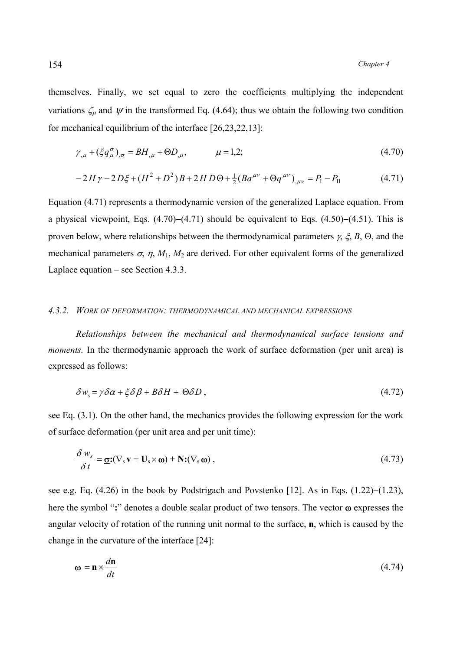themselves. Finally, we set equal to zero the coefficients multiplying the independent variations  $\zeta_{\mu}$  and  $\psi$  in the transformed Eq. (4.64); thus we obtain the following two condition for mechanical equilibrium of the interface [26,23,22,13]:

$$
\gamma_{,\mu} + (\xi q_{\mu}^{\sigma})_{,\sigma} = BH_{,\mu} + \Theta D_{,\mu}, \qquad \mu = 1, 2; \qquad (4.70)
$$

$$
-2H\gamma - 2D\xi + (H^2 + D^2)B + 2HD\Theta + \frac{1}{2}(Ba^{\mu\nu} + \Theta q^{\mu\nu})_{,\mu\nu} = P_I - P_{II}
$$
(4.71)

Equation (4.71) represents a thermodynamic version of the generalized Laplace equation. From a physical viewpoint, Eqs. (4.70)−(4.71) should be equivalent to Eqs. (4.50)−(4.51). This is proven below, where relationships between the thermodynamical parameters  $\gamma$ ,  $\xi$ ,  $B$ ,  $\Theta$ , and the mechanical parameters  $\sigma$ ,  $\eta$ ,  $M_1$ ,  $M_2$  are derived. For other equivalent forms of the generalized Laplace equation – see Section 4.3.3.

### *4.3.2. WORK OF DEFORMATION: THERMODYNAMICAL AND MECHANICAL EXPRESSIONS*

 *Relationships between the mechanical and thermodynamical surface tensions and moments*. In the thermodynamic approach the work of surface deformation (per unit area) is expressed as follows:

$$
\delta w_s = \gamma \delta \alpha + \xi \delta \beta + B \delta H + \Theta \delta D \,, \tag{4.72}
$$

see Eq. (3.1). On the other hand, the mechanics provides the following expression for the work of surface deformation (per unit area and per unit time):

$$
\frac{\delta w_s}{\delta t} = \underline{\sigma} : (\nabla_s \mathbf{v} + \mathbf{U}_s \times \mathbf{\omega}) + \mathbf{N} : (\nabla_s \mathbf{\omega}), \qquad (4.73)
$$

see e.g. Eq. (4.26) in the book by Podstrigach and Povstenko [12]. As in Eqs. (1.22)–(1.23), here the symbol "**:**" denotes a double scalar product of two tensors. The vector ω expresses the angular velocity of rotation of the running unit normal to the surface, **n**, which is caused by the change in the curvature of the interface [24]:

$$
\mathbf{\omega} = \mathbf{n} \times \frac{d\mathbf{n}}{dt} \tag{4.74}
$$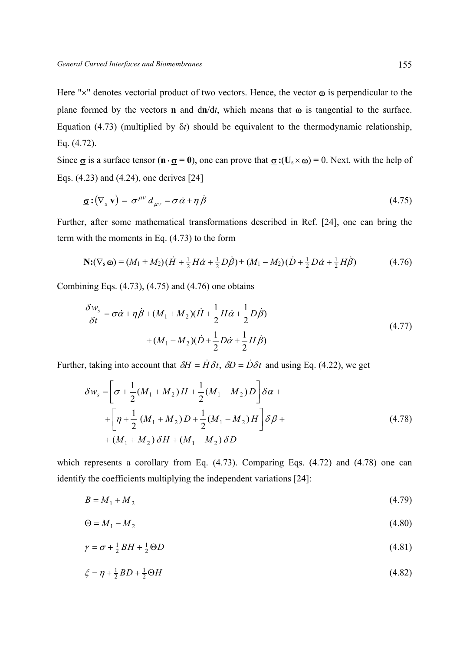Here " $\times$ " denotes vectorial product of two vectors. Hence, the vector  $\omega$  is perpendicular to the plane formed by the vectors **n** and d**n**/d*t*, which means that ω is tangential to the surface. Equation (4.73) (multiplied by δ*t*) should be equivalent to the thermodynamic relationship, Eq. (4.72).

Since  $\sigma$  is a surface tensor ( $\mathbf{n} \cdot \sigma = 0$ ), one can prove that  $\sigma$  **:**( $\mathbf{U}_s \times \boldsymbol{\omega}$ ) = 0. Next, with the help of Eqs. (4.23) and (4.24), one derives [24]

$$
\mathbf{Q} : (\nabla_s \mathbf{v}) = \sigma^{\mu \nu} d_{\mu \nu} = \sigma \dot{\alpha} + \eta \dot{\beta} \tag{4.75}
$$

Further, after some mathematical transformations described in Ref. [24], one can bring the term with the moments in Eq. (4.73) to the form

$$
\mathbf{N:} (\nabla_s \mathbf{\omega}) = (M_1 + M_2)(\dot{H} + \frac{1}{2}H\dot{\alpha} + \frac{1}{2}D\dot{\beta}) + (M_1 - M_2)(\dot{D} + \frac{1}{2}D\dot{\alpha} + \frac{1}{2}H\dot{\beta})
$$
(4.76)

Combining Eqs.  $(4.73)$ ,  $(4.75)$  and  $(4.76)$  one obtains

$$
\frac{\delta w_s}{\delta t} = \sigma \dot{\alpha} + \eta \dot{\beta} + (M_1 + M_2)(\dot{H} + \frac{1}{2}H\dot{\alpha} + \frac{1}{2}D\dot{\beta}) \n+ (M_1 - M_2)(\dot{D} + \frac{1}{2}D\dot{\alpha} + \frac{1}{2}H\dot{\beta})
$$
\n(4.77)

Further, taking into account that  $\delta H = \dot{H} \delta t$ ,  $\delta D = \dot{D} \delta t$  and using Eq. (4.22), we get

$$
\delta w_s = \left[ \sigma + \frac{1}{2} (M_1 + M_2) H + \frac{1}{2} (M_1 - M_2) D \right] \delta \alpha +
$$
  
+ 
$$
\left[ \eta + \frac{1}{2} (M_1 + M_2) D + \frac{1}{2} (M_1 - M_2) H \right] \delta \beta +
$$
  
+ 
$$
(M_1 + M_2) \delta H + (M_1 - M_2) \delta D
$$
 (4.78)

which represents a corollary from Eq. (4.73). Comparing Eqs. (4.72) and (4.78) one can identify the coefficients multiplying the independent variations [24]:

$$
B = M_1 + M_2 \tag{4.79}
$$

$$
\Theta = M_1 - M_2 \tag{4.80}
$$

$$
\gamma = \sigma + \frac{1}{2}BH + \frac{1}{2}\Theta D \tag{4.81}
$$

$$
\xi = \eta + \frac{1}{2}BD + \frac{1}{2}\Theta H\tag{4.82}
$$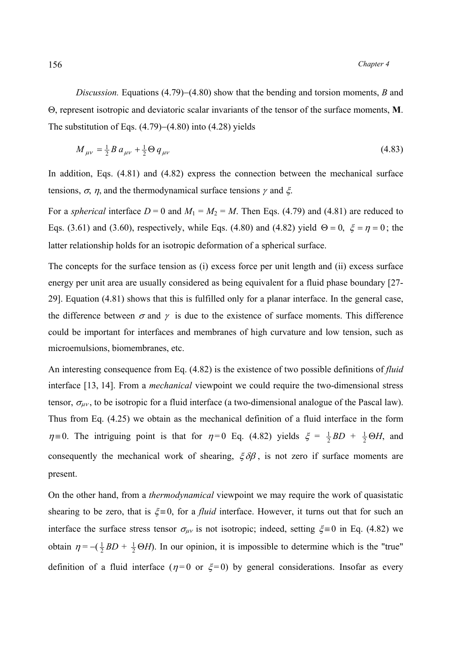# 156 *Chapter 4*

*Discussion.* Equations (4.79)−(4.80) show that the bending and torsion moments, *B* and Θ, represent isotropic and deviatoric scalar invariants of the tensor of the surface moments, **M**. The substitution of Eqs. (4.79)−(4.80) into (4.28) yields

$$
M_{\mu\nu} = \frac{1}{2} B a_{\mu\nu} + \frac{1}{2} \Theta q_{\mu\nu}
$$
\n(4.83)

In addition, Eqs. (4.81) and (4.82) express the connection between the mechanical surface tensions,  $\sigma$ ,  $\eta$ , and the thermodynamical surface tensions  $\gamma$  and  $\xi$ .

For a *spherical* interface  $D = 0$  and  $M_1 = M_2 = M$ . Then Eqs. (4.79) and (4.81) are reduced to Eqs. (3.61) and (3.60), respectively, while Eqs. (4.80) and (4.82) yield  $\Theta = 0$ ,  $\xi = \eta = 0$ ; the latter relationship holds for an isotropic deformation of a spherical surface.

The concepts for the surface tension as (i) excess force per unit length and (ii) excess surface energy per unit area are usually considered as being equivalent for a fluid phase boundary [27- 29]. Equation (4.81) shows that this is fulfilled only for a planar interface. In the general case, the difference between  $\sigma$  and  $\gamma$  is due to the existence of surface moments. This difference could be important for interfaces and membranes of high curvature and low tension, such as microemulsions, biomembranes, etc.

An interesting consequence from Eq. (4.82) is the existence of two possible definitions of *fluid*  interface [13, 14]. From a *mechanical* viewpoint we could require the two-dimensional stress tensor,  $\sigma_{\mu\nu}$ , to be isotropic for a fluid interface (a two-dimensional analogue of the Pascal law). Thus from Eq. (4.25) we obtain as the mechanical definition of a fluid interface in the form  $\eta = 0$ . The intriguing point is that for  $\eta = 0$  Eq. (4.82) yields  $\xi = \frac{1}{2}BD + \frac{1}{2}\Theta H$ , and consequently the mechanical work of shearing,  $\xi \delta \beta$ , is not zero if surface moments are present.

On the other hand, from a *thermodynamical* viewpoint we may require the work of quasistatic shearing to be zero, that is  $\xi = 0$ , for a *fluid* interface. However, it turns out that for such an interface the surface stress tensor  $\sigma_{\mu\nu}$  is not isotropic; indeed, setting  $\xi = 0$  in Eq. (4.82) we obtain  $\eta = -(\frac{1}{2}BD + \frac{1}{2}\Theta H)$ . In our opinion, it is impossible to determine which is the "true" definition of a fluid interface ( $\eta = 0$  or  $\xi = 0$ ) by general considerations. Insofar as every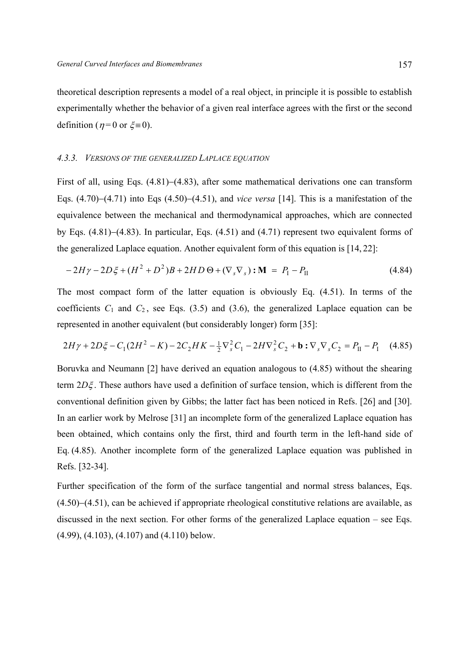theoretical description represents a model of a real object, in principle it is possible to establish experimentally whether the behavior of a given real interface agrees with the first or the second definition ( $n=0$  or  $\zeta=0$ ).

#### *4.3.3. VERSIONS OF THE GENERALIZED LAPLACE EQUATION*

First of all, using Eqs. (4.81)−(4.83), after some mathematical derivations one can transform Eqs. (4.70)−(4.71) into Eqs (4.50)−(4.51), and *vice versa* [14]. This is a manifestation of the equivalence between the mechanical and thermodynamical approaches, which are connected by Eqs. (4.81)−(4.83). In particular, Eqs. (4.51) and (4.71) represent two equivalent forms of the generalized Laplace equation. Another equivalent form of this equation is [14, 22]:

$$
-2H\gamma - 2D\xi + (H^2 + D^2)B + 2HD\Theta + (\nabla_s \nabla_s) : \mathbf{M} = P_{\rm I} - P_{\rm II}
$$
(4.84)

The most compact form of the latter equation is obviously Eq. (4.51). In terms of the coefficients  $C_1$  and  $C_2$ , see Eqs. (3.5) and (3.6), the generalized Laplace equation can be represented in another equivalent (but considerably longer) form [35]:

$$
2H\gamma + 2D\xi - C_1(2H^2 - K) - 2C_2HK - \frac{1}{2}\nabla_s^2 C_1 - 2H\nabla_s^2 C_2 + \mathbf{b} : \nabla_s \nabla_s C_2 = P_{II} - P_I \quad (4.85)
$$

Boruvka and Neumann [2] have derived an equation analogous to (4.85) without the shearing term 2*D*ξ . These authors have used a definition of surface tension, which is different from the conventional definition given by Gibbs; the latter fact has been noticed in Refs. [26] and [30]. In an earlier work by Melrose [31] an incomplete form of the generalized Laplace equation has been obtained, which contains only the first, third and fourth term in the left-hand side of Eq. (4.85). Another incomplete form of the generalized Laplace equation was published in Refs. [32-34].

Further specification of the form of the surface tangential and normal stress balances, Eqs. (4.50)−(4.51), can be achieved if appropriate rheological constitutive relations are available, as discussed in the next section. For other forms of the generalized Laplace equation – see Eqs. (4.99), (4.103), (4.107) and (4.110) below.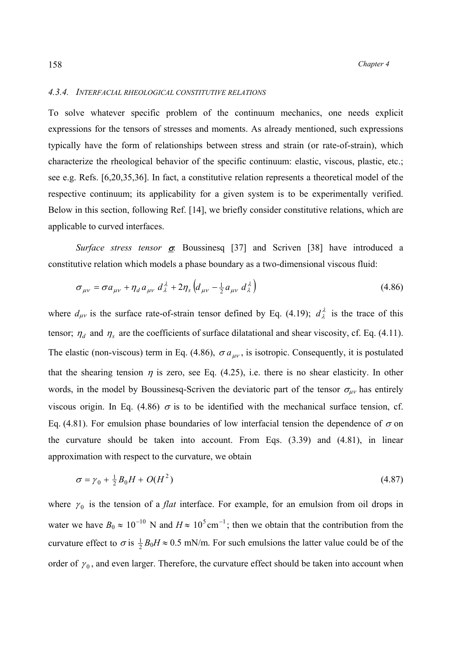#### *4.3.4. INTERFACIAL RHEOLOGICAL CONSTITUTIVE RELATIONS*

To solve whatever specific problem of the continuum mechanics, one needs explicit expressions for the tensors of stresses and moments. As already mentioned, such expressions typically have the form of relationships between stress and strain (or rate-of-strain), which characterize the rheological behavior of the specific continuum: elastic, viscous, plastic, etc.; see e.g. Refs. [6,20,35,36]. In fact, a constitutive relation represents a theoretical model of the respective continuum; its applicability for a given system is to be experimentally verified. Below in this section, following Ref. [14], we briefly consider constitutive relations, which are applicable to curved interfaces.

 *Surface stress tensor* σ*.* Boussinesq [37] and Scriven [38] have introduced a constitutive relation which models a phase boundary as a two-dimensional viscous fluid:

$$
\sigma_{\mu\nu} = \sigma a_{\mu\nu} + \eta_d a_{\mu\nu} d_{\lambda}^{\lambda} + 2\eta_s \left( d_{\mu\nu} - \frac{1}{2} a_{\mu\nu} d_{\lambda}^{\lambda} \right)
$$
(4.86)

where  $d_{\mu\nu}$  is the surface rate-of-strain tensor defined by Eq. (4.19);  $d_{\lambda}^{\lambda}$  is the trace of this tensor;  $\eta_d$  and  $\eta_s$  are the coefficients of surface dilatational and shear viscosity, cf. Eq. (4.11). The elastic (non-viscous) term in Eq. (4.86),  $\sigma a_{\mu\nu}$ , is isotropic. Consequently, it is postulated that the shearing tension  $\eta$  is zero, see Eq. (4.25), i.e. there is no shear elasticity. In other words, in the model by Boussinesq-Scriven the deviatoric part of the tensor  $\sigma_{\mu\nu}$  has entirely viscous origin. In Eq. (4.86)  $\sigma$  is to be identified with the mechanical surface tension, cf. Eq. (4.81). For emulsion phase boundaries of low interfacial tension the dependence of  $\sigma$  on the curvature should be taken into account. From Eqs. (3.39) and (4.81), in linear approximation with respect to the curvature, we obtain

$$
\sigma = \gamma_0 + \frac{1}{2}B_0H + O(H^2) \tag{4.87}
$$

where  $y_0$  is the tension of a *flat* interface. For example, for an emulsion from oil drops in water we have  $B_0 \approx 10^{-10}$  N and  $H \approx 10^5$  cm<sup>-1</sup>; then we obtain that the contribution from the curvature effect to  $\sigma$  is  $\frac{1}{2}B_0H \approx 0.5$  mN/m. For such emulsions the latter value could be of the order of  $\gamma_0$ , and even larger. Therefore, the curvature effect should be taken into account when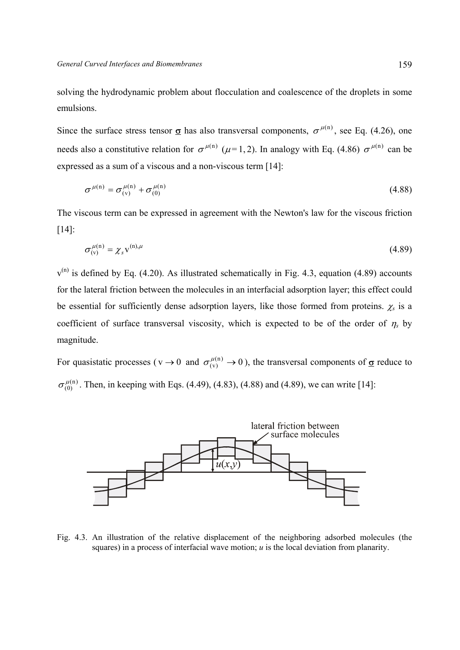solving the hydrodynamic problem about flocculation and coalescence of the droplets in some emulsions.

Since the surface stress tensor  $\sigma$  has also transversal components,  $\sigma^{\mu(n)}$ , see Eq. (4.26), one needs also a constitutive relation for  $\sigma^{\mu(n)}$  ( $\mu$ =1,2). In analogy with Eq. (4.86)  $\sigma^{\mu(n)}$  can be expressed as a sum of a viscous and a non-viscous term [14]:

$$
\sigma^{\mu(n)} = \sigma_{(v)}^{\mu(n)} + \sigma_{(0)}^{\mu(n)}
$$
\n(4.88)

The viscous term can be expressed in agreement with the Newton's law for the viscous friction [14]:

$$
\sigma_{\text{(v)}}^{\mu\text{(n)}} = \chi_s \mathbf{v}^{\text{(n)},\mu} \tag{4.89}
$$

 $v^{(n)}$  is defined by Eq. (4.20). As illustrated schematically in Fig. 4.3, equation (4.89) accounts for the lateral friction between the molecules in an interfacial adsorption layer; this effect could be essential for sufficiently dense adsorption layers, like those formed from proteins.  $\chi_s$  is a coefficient of surface transversal viscosity, which is expected to be of the order of  $\eta_s$  by magnitude.

For quasistatic processes ( $v \rightarrow 0$  and  $\sigma_{(v)}^{\mu(n)} \rightarrow 0$ ), the transversal components of  $\underline{\sigma}$  reduce to (n)  $\sigma_{(0)}^{\mu(n)}$ . Then, in keeping with Eqs. (4.49), (4.83), (4.88) and (4.89), we can write [14]:



Fig. 4.3. An illustration of the relative displacement of the neighboring adsorbed molecules (the squares) in a process of interfacial wave motion; *u* is the local deviation from planarity.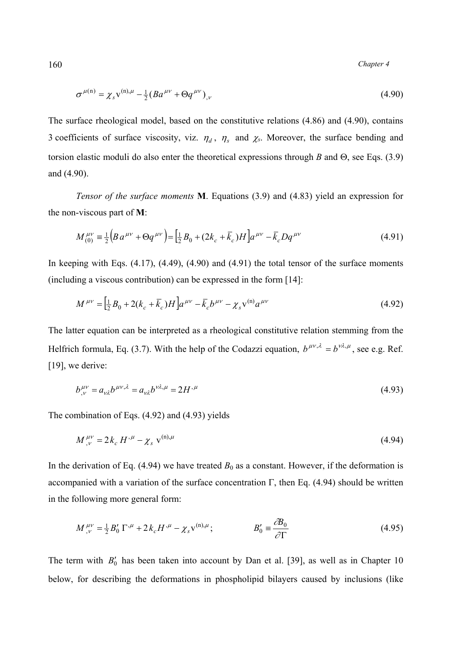160 *Chapter 4* 

$$
\sigma^{\mu(n)} = \chi_s v^{(n),\mu} - \frac{1}{2} (B a^{\mu\nu} + \Theta q^{\mu\nu})_{,\nu}
$$
 (4.90)

The surface rheological model, based on the constitutive relations (4.86) and (4.90), contains 3 coefficients of surface viscosity, viz.  $\eta_d$ ,  $\eta_s$  and  $\chi_s$ . Moreover, the surface bending and torsion elastic moduli do also enter the theoretical expressions through *B* and Θ, see Eqs. (3.9) and (4.90).

 *Tensor of the surface moments* **M**. Equations (3.9) and (4.83) yield an expression for the non-viscous part of **M**:

$$
M_{(0)}^{\mu\nu} = \frac{1}{2} \Big( B a^{\mu\nu} + \Theta q^{\mu\nu} \Big) = \Big[ \frac{1}{2} B_0 + (2k_c + \overline{k}_c) H \Big] a^{\mu\nu} - \overline{k}_c D q^{\mu\nu} \tag{4.91}
$$

In keeping with Eqs.  $(4.17)$ ,  $(4.49)$ ,  $(4.90)$  and  $(4.91)$  the total tensor of the surface moments (including a viscous contribution) can be expressed in the form [14]:

$$
M^{\mu\nu} = \left[\frac{1}{2}B_0 + 2(k_c + \bar{k}_c)H\right]a^{\mu\nu} - \bar{k}_cb^{\mu\nu} - \chi_s v^{(n)}a^{\mu\nu}
$$
(4.92)

The latter equation can be interpreted as a rheological constitutive relation stemming from the Helfrich formula, Eq. (3.7). With the help of the Codazzi equation,  $b^{\mu\nu,\lambda} = b^{\nu\lambda,\mu}$ , see e.g. Ref. [19], we derive:

$$
b_{,\nu}^{\mu\nu} = a_{\nu\lambda} b^{\mu\nu,\lambda} = a_{\nu\lambda} b^{\nu\lambda,\mu} = 2H^{\mu} \tag{4.93}
$$

The combination of Eqs. (4.92) and (4.93) yields

$$
M^{\mu\nu}_{,\nu} = 2k_c H^{\mu} - \chi_s \mathbf{v}^{(\mathrm{n})\mu} \tag{4.94}
$$

In the derivation of Eq.  $(4.94)$  we have treated  $B_0$  as a constant. However, if the deformation is accompanied with a variation of the surface concentration Γ, then Eq. (4.94) should be written in the following more general form:

$$
M^{\mu\nu}_{,\nu} = \frac{1}{2} B_0' \Gamma^{,\mu} + 2 k_c H^{,\mu} - \chi_s v^{(n),\mu}; \qquad B_0' \equiv \frac{\partial B_0}{\partial \Gamma} \tag{4.95}
$$

The term with  $B_0'$  has been taken into account by Dan et al. [39], as well as in Chapter 10 below, for describing the deformations in phospholipid bilayers caused by inclusions (like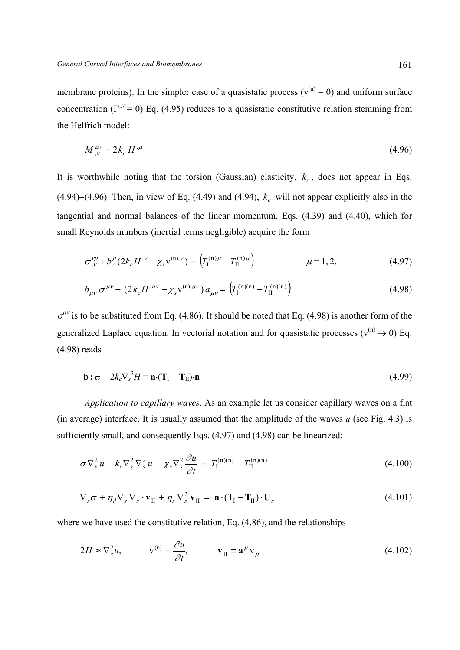membrane proteins). In the simpler case of a quasistatic process ( $v^{(n)} = 0$ ) and uniform surface concentration ( $\Gamma^{\mu}$  = 0) Eq. (4.95) reduces to a quasistatic constitutive relation stemming from the Helfrich model:

$$
M^{\mu\nu}_{,\nu} = 2k_c H^{\mu} \tag{4.96}
$$

It is worthwhile noting that the torsion (Gaussian) elasticity,  $\bar{k}_c$ , does not appear in Eqs. (4.94)−(4.96). Then, in view of Eq. (4.49) and (4.94),  $\bar{k}_c$  will not appear explicitly also in the tangential and normal balances of the linear momentum, Eqs. (4.39) and (4.40), which for small Reynolds numbers (inertial terms negligible) acquire the form

$$
\sigma_{,\nu}^{\nu\mu} + b_{\nu}^{\mu} (2k_c H^{\nu} - \chi_s v^{(n),\nu}) = \left( T_I^{(n)\mu} - T_{II}^{(n)\mu} \right) \qquad \mu = 1, 2. \qquad (4.97)
$$

$$
b_{\mu\nu}\,\sigma^{\mu\nu} - (2k_c H^{,\mu\nu} - \chi_s v^{(n),\mu\nu})\,a_{\mu\nu} = \left(T_I^{(n)(n)} - T_{II}^{(n)(n)}\right) \tag{4.98}
$$

 $\sigma^{\mu\nu}$  is to be substituted from Eq. (4.86). It should be noted that Eq. (4.98) is another form of the generalized Laplace equation. In vectorial notation and for quasistatic processes ( $v^{(n)} \rightarrow 0$ ) Eq. (4.98) reads

$$
\mathbf{b} : \underline{\sigma} - 2k_c \nabla_s^2 H = \mathbf{n} \cdot (\mathbf{T}_I - \mathbf{T}_{II}) \cdot \mathbf{n}
$$
 (4.99)

 *Application to capillary waves*. As an example let us consider capillary waves on a flat (in average) interface. It is usually assumed that the amplitude of the waves *u* (see Fig. 4.3) is sufficiently small, and consequently Eqs. (4.97) and (4.98) can be linearized:

$$
\sigma \nabla_s^2 u - k_c \nabla_s^2 \nabla_s^2 u + \chi_s \nabla_s^2 \frac{\partial u}{\partial t} = T_{\rm I}^{(\rm n)(\rm n)} - T_{\rm II}^{(\rm n)(\rm n)} \tag{4.100}
$$

$$
\nabla_s \sigma + \eta_d \nabla_s \nabla_s \cdot \mathbf{v}_{II} + \eta_s \nabla_s^2 \mathbf{v}_{II} = \mathbf{n} \cdot (\mathbf{T}_I - \mathbf{T}_{II}) \cdot \mathbf{U}_s
$$
(4.101)

where we have used the constitutive relation, Eq. (4.86), and the relationships

$$
2H \approx \nabla_s^2 u, \qquad \mathbf{v}^{(\mathrm{n})} = \frac{\partial u}{\partial t}, \qquad \mathbf{v}_{\mathrm{II}} \equiv \mathbf{a}^\mu \mathbf{v}_\mu \tag{4.102}
$$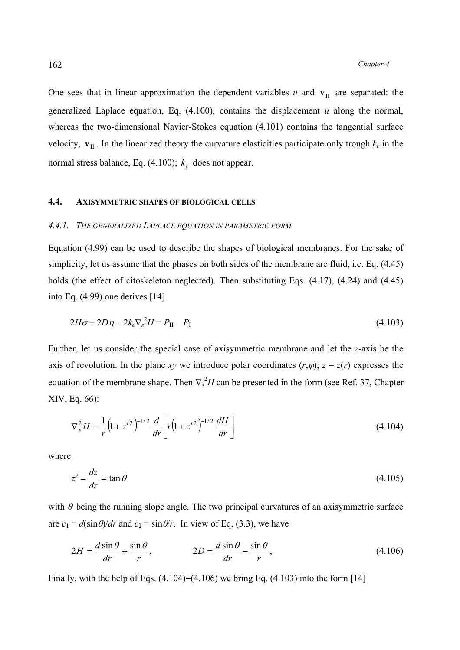One sees that in linear approximation the dependent variables  $u$  and  $v$ <sup>II</sup> are separated: the generalized Laplace equation, Eq. (4.100), contains the displacement *u* along the normal, whereas the two-dimensional Navier-Stokes equation (4.101) contains the tangential surface velocity,  $\mathbf{v}_{\text{II}}$ . In the linearized theory the curvature elasticities participate only trough  $k_c$  in the normal stress balance, Eq. (4.100);  $\bar{k}_c$  does not appear.

#### **4.4. AXISYMMETRIC SHAPES OF BIOLOGICAL CELLS**

#### *4.4.1. THE GENERALIZED LAPLACE EQUATION IN PARAMETRIC FORM*

Equation (4.99) can be used to describe the shapes of biological membranes. For the sake of simplicity, let us assume that the phases on both sides of the membrane are fluid, i.e. Eq. (4.45) holds (the effect of citoskeleton neglected). Then substituting Eqs.  $(4.17)$ ,  $(4.24)$  and  $(4.45)$ into Eq. (4.99) one derives [14]

$$
2H\sigma + 2D\eta - 2k_c \nabla_s^2 H = P_{II} - P_I \tag{4.103}
$$

Further, let us consider the special case of axisymmetric membrane and let the *z*-axis be the axis of revolution. In the plane *xy* we introduce polar coordinates  $(r, \varphi)$ ;  $z = z(r)$  expresses the equation of the membrane shape. Then  $\nabla_s^2 H$  can be presented in the form (see Ref. 37, Chapter XIV, Eq. 66):

$$
\nabla_s^2 H = \frac{1}{r} \left( 1 + z'^2 \right)^{-1/2} \frac{d}{dr} \left[ r \left( 1 + z'^2 \right)^{-1/2} \frac{dH}{dr} \right] \tag{4.104}
$$

where

$$
z' = \frac{dz}{dr} = \tan \theta \tag{4.105}
$$

with  $\theta$  being the running slope angle. The two principal curvatures of an axisymmetric surface are  $c_1 = d(\sin \theta)/dr$  and  $c_2 = \sin \theta/r$ . In view of Eq. (3.3), we have

$$
2H = \frac{d \sin \theta}{dr} + \frac{\sin \theta}{r}, \qquad 2D = \frac{d \sin \theta}{dr} - \frac{\sin \theta}{r}, \qquad (4.106)
$$

Finally, with the help of Eqs. (4.104)−(4.106) we bring Eq. (4.103) into the form [14]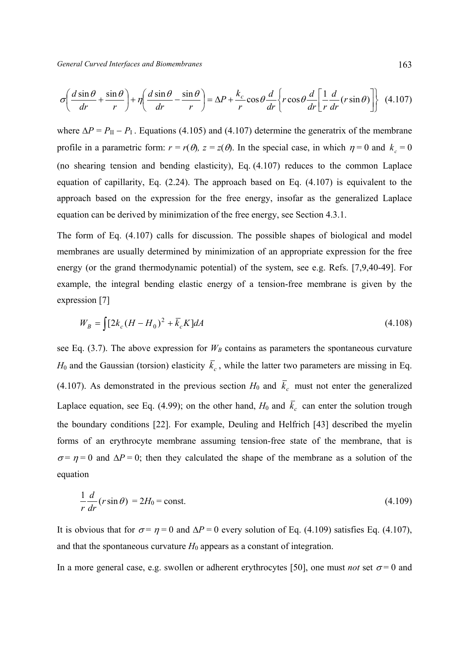$$
\sigma \left( \frac{d \sin \theta}{dr} + \frac{\sin \theta}{r} \right) + \eta \left( \frac{d \sin \theta}{dr} - \frac{\sin \theta}{r} \right) = \Delta P + \frac{k_c}{r} \cos \theta \frac{d}{dr} \left\{ r \cos \theta \frac{d}{dr} \left[ \frac{1}{r} \frac{d}{dr} (r \sin \theta) \right] \right\}
$$
(4.107)

where  $\Delta P = P_{\text{II}} - P_{\text{I}}$ . Equations (4.105) and (4.107) determine the generatrix of the membrane profile in a parametric form:  $r = r(\theta)$ ,  $z = z(\theta)$ . In the special case, in which  $\eta = 0$  and  $k_c = 0$ (no shearing tension and bending elasticity), Eq. (4.107) reduces to the common Laplace equation of capillarity, Eq. (2.24). The approach based on Eq. (4.107) is equivalent to the approach based on the expression for the free energy, insofar as the generalized Laplace equation can be derived by minimization of the free energy, see Section 4.3.1.

The form of Eq. (4.107) calls for discussion. The possible shapes of biological and model membranes are usually determined by minimization of an appropriate expression for the free energy (or the grand thermodynamic potential) of the system, see e.g. Refs. [7,9,40-49]. For example, the integral bending elastic energy of a tension-free membrane is given by the expression [7]

$$
W_B = \int [2k_c (H - H_0)^2 + \bar{k}_c K] dA \tag{4.108}
$$

see Eq.  $(3.7)$ . The above expression for  $W_B$  contains as parameters the spontaneous curvature  $H_0$  and the Gaussian (torsion) elasticity  $\bar{k}_c$ , while the latter two parameters are missing in Eq. (4.107). As demonstrated in the previous section  $H_0$  and  $\bar{k}_c$  must not enter the generalized Laplace equation, see Eq. (4.99); on the other hand,  $H_0$  and  $\bar{k}_c$  can enter the solution trough the boundary conditions [22]. For example, Deuling and Helfrich [43] described the myelin forms of an erythrocyte membrane assuming tension-free state of the membrane, that is  $\sigma = \eta = 0$  and  $\Delta P = 0$ ; then they calculated the shape of the membrane as a solution of the equation

$$
\frac{1}{r}\frac{d}{dr}(r\sin\theta) = 2H_0 = \text{const.}\tag{4.109}
$$

It is obvious that for  $\sigma = \eta = 0$  and  $\Delta P = 0$  every solution of Eq. (4.109) satisfies Eq. (4.107), and that the spontaneous curvature  $H_0$  appears as a constant of integration.

In a more general case, e.g. swollen or adherent erythrocytes [50], one must *not* set  $\sigma = 0$  and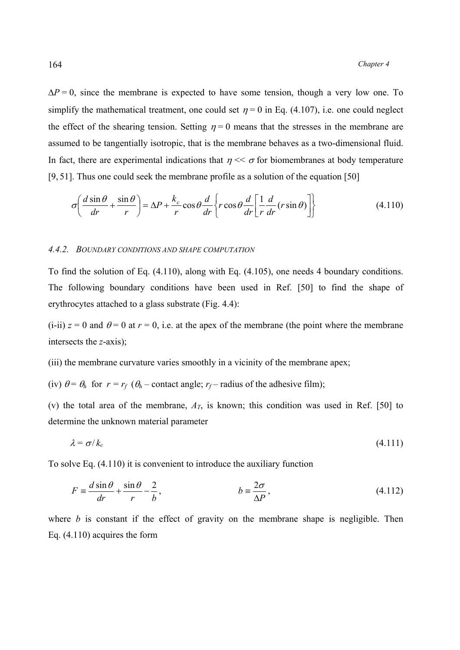$\Delta P = 0$ , since the membrane is expected to have some tension, though a very low one. To simplify the mathematical treatment, one could set  $\eta = 0$  in Eq. (4.107), i.e. one could neglect the effect of the shearing tension. Setting  $\eta = 0$  means that the stresses in the membrane are assumed to be tangentially isotropic, that is the membrane behaves as a two-dimensional fluid. In fact, there are experimental indications that  $n \ll \sigma$  for biomembranes at body temperature [9, 51]. Thus one could seek the membrane profile as a solution of the equation [50]

$$
\sigma \left( \frac{d \sin \theta}{dr} + \frac{\sin \theta}{r} \right) = \Delta P + \frac{k_c}{r} \cos \theta \frac{d}{dr} \left\{ r \cos \theta \frac{d}{dr} \left[ \frac{1}{r} \frac{d}{dr} (r \sin \theta) \right] \right\}
$$
(4.110)

#### *4.4.2. BOUNDARY CONDITIONS AND SHAPE COMPUTATION*

To find the solution of Eq. (4.110), along with Eq. (4.105), one needs 4 boundary conditions. The following boundary conditions have been used in Ref. [50] to find the shape of erythrocytes attached to a glass substrate (Fig. 4.4):

 $(i-i)$  *z* = 0 and  $\theta$  = 0 at *r* = 0, i.e. at the apex of the membrane (the point where the membrane intersects the *z*-axis);

(iii) the membrane curvature varies smoothly in a vicinity of the membrane apex;

(iv)  $\theta = \theta_h$  for  $r = r_f$  ( $\theta_h$  – contact angle;  $r_f$  – radius of the adhesive film);

(v) the total area of the membrane,  $A_T$ , is known; this condition was used in Ref. [50] to determine the unknown material parameter

$$
\lambda = \sigma / k_c \tag{4.111}
$$

To solve Eq. (4.110) it is convenient to introduce the auxiliary function

$$
F \equiv \frac{d \sin \theta}{dr} + \frac{\sin \theta}{r} - \frac{2}{b}, \qquad b \equiv \frac{2\sigma}{\Delta P}, \qquad (4.112)
$$

where *b* is constant if the effect of gravity on the membrane shape is negligible. Then Eq. (4.110) acquires the form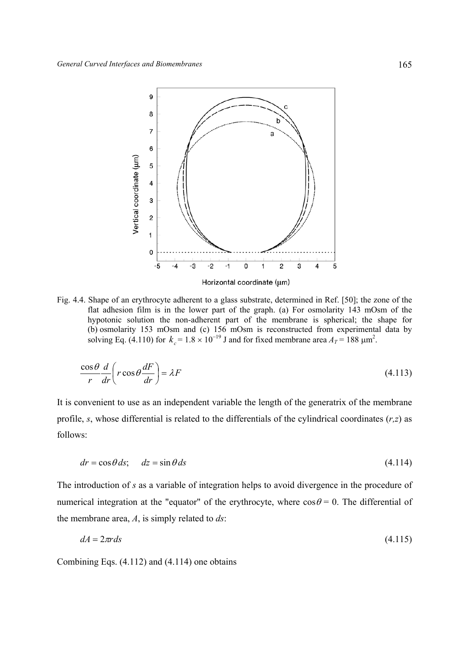

Fig. 4.4. Shape of an erythrocyte adherent to a glass substrate, determined in Ref. [50]; the zone of the flat adhesion film is in the lower part of the graph. (a) For osmolarity 143 mOsm of the hypotonic solution the non-adherent part of the membrane is spherical; the shape for (b) osmolarity 153 mOsm and (c) 156 mOsm is reconstructed from experimental data by solving Eq. (4.110) for  $k_c = 1.8 \times 10^{-19}$  J and for fixed membrane area  $A_T = 188 \text{ }\mu\text{m}^2$ .

$$
\frac{\cos\theta}{r}\frac{d}{dr}\left(r\cos\theta\frac{dF}{dr}\right) = \lambda F\tag{4.113}
$$

It is convenient to use as an independent variable the length of the generatrix of the membrane profile, *s*, whose differential is related to the differentials of the cylindrical coordinates (*r,z*) as follows:

$$
dr = \cos\theta \, ds; \quad dz = \sin\theta \, ds \tag{4.114}
$$

The introduction of *s* as a variable of integration helps to avoid divergence in the procedure of numerical integration at the "equator" of the erythrocyte, where  $\cos\theta = 0$ . The differential of the membrane area, *A*, is simply related to *ds*:

$$
dA = 2\pi r \, ds \tag{4.115}
$$

Combining Eqs. (4.112) and (4.114) one obtains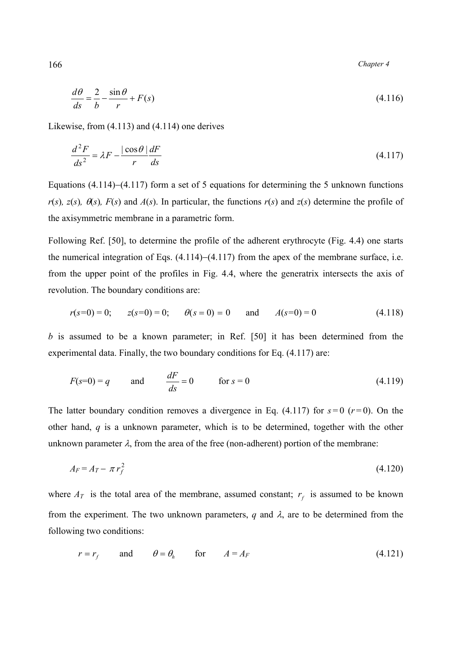166 *Chapter 4* 

$$
\frac{d\theta}{ds} = \frac{2}{b} - \frac{\sin\theta}{r} + F(s)
$$
\n(4.116)

Likewise, from (4.113) and (4.114) one derives

$$
\frac{d^2F}{ds^2} = \lambda F - \frac{|\cos\theta|}{r}\frac{dF}{ds}
$$
\n(4.117)

Equations (4.114)−(4.117) form a set of 5 equations for determining the 5 unknown functions  $r(s)$ ,  $z(s)$ ,  $\theta(s)$ ,  $F(s)$  and  $A(s)$ . In particular, the functions  $r(s)$  and  $z(s)$  determine the profile of the axisymmetric membrane in a parametric form.

Following Ref. [50], to determine the profile of the adherent erythrocyte (Fig. 4.4) one starts the numerical integration of Eqs. (4.114)−(4.117) from the apex of the membrane surface, i.e. from the upper point of the profiles in Fig. 4.4, where the generatrix intersects the axis of revolution. The boundary conditions are:

$$
r(s=0) = 0;
$$
  $z(s=0) = 0;$   $\theta(s = 0) = 0$  and  $A(s=0) = 0$  (4.118)

*b* is assumed to be a known parameter; in Ref. [50] it has been determined from the experimental data. Finally, the two boundary conditions for Eq. (4.117) are:

$$
F(s=0) = q \qquad \text{and} \qquad \frac{dF}{ds} = 0 \qquad \text{for } s = 0 \tag{4.119}
$$

The latter boundary condition removes a divergence in Eq.  $(4.117)$  for  $s=0$   $(r=0)$ . On the other hand, *q* is a unknown parameter, which is to be determined, together with the other unknown parameter  $\lambda$ , from the area of the free (non-adherent) portion of the membrane:

$$
A_F = A_T - \pi r_f^2 \tag{4.120}
$$

where  $A_T$  is the total area of the membrane, assumed constant;  $r_f$  is assumed to be known from the experiment. The two unknown parameters,  $q$  and  $\lambda$ , are to be determined from the following two conditions:

$$
r = r_f
$$
 and  $\theta = \theta_h$  for  $A = A_F$  (4.121)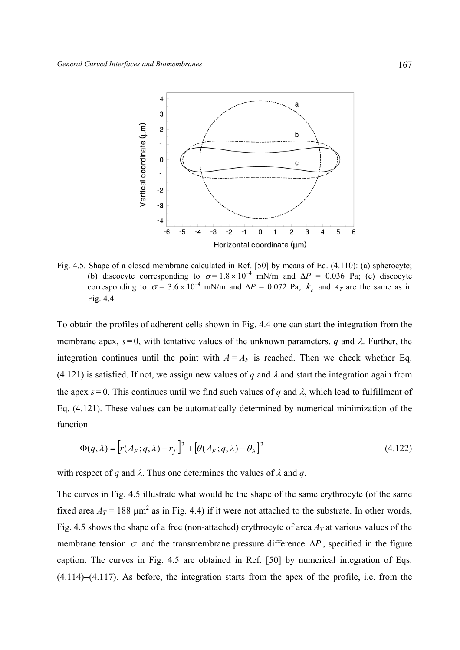

Fig. 4.5. Shape of a closed membrane calculated in Ref. [50] by means of Eq. (4.110): (a) spherocyte; (b) discocyte corresponding to  $\sigma = 1.8 \times 10^{-4}$  mN/m and  $\Delta P = 0.036$  Pa; (c) discocyte corresponding to  $\sigma = 3.6 \times 10^{-4}$  mN/m and  $\Delta P = 0.072$  Pa;  $k_c$  and  $A_T$  are the same as in Fig. 4.4.

To obtain the profiles of adherent cells shown in Fig. 4.4 one can start the integration from the membrane apex,  $s = 0$ , with tentative values of the unknown parameters, *q* and  $\lambda$ . Further, the integration continues until the point with  $A = A_F$  is reached. Then we check whether Eq.  $(4.121)$  is satisfied. If not, we assign new values of *q* and  $\lambda$  and start the integration again from the apex  $s = 0$ . This continues until we find such values of *q* and  $\lambda$ , which lead to fulfillment of Eq. (4.121). These values can be automatically determined by numerical minimization of the function

$$
\Phi(q,\lambda) = \left[r(A_F;q,\lambda) - r_f\right]^2 + \left[\theta(A_F;q,\lambda) - \theta_h\right]^2\tag{4.122}
$$

with respect of *q* and  $\lambda$ . Thus one determines the values of  $\lambda$  and *q*.

The curves in Fig. 4.5 illustrate what would be the shape of the same erythrocyte (of the same fixed area  $A_T$  = 188  $\mu$ m<sup>2</sup> as in Fig. 4.4) if it were not attached to the substrate. In other words, Fig. 4.5 shows the shape of a free (non-attached) erythrocyte of area  $A_T$  at various values of the membrane tension  $\sigma$  and the transmembrane pressure difference  $\Delta P$ , specified in the figure caption. The curves in Fig. 4.5 are obtained in Ref. [50] by numerical integration of Eqs. (4.114)−(4.117). As before, the integration starts from the apex of the profile, i.e. from the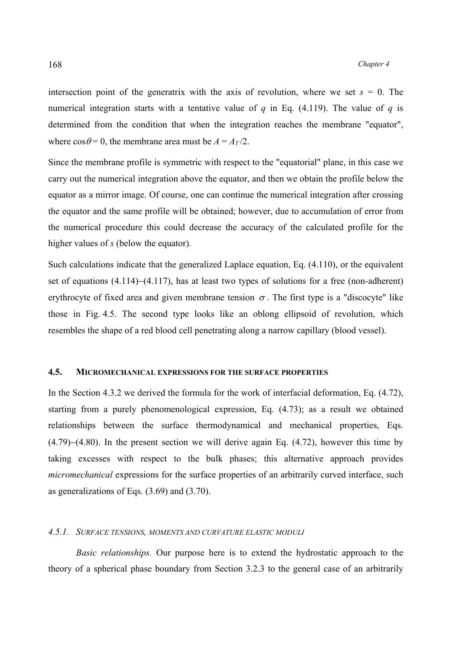intersection point of the generatrix with the axis of revolution, where we set  $s = 0$ . The numerical integration starts with a tentative value of *q* in Eq. (4.119). The value of *q* is determined from the condition that when the integration reaches the membrane "equator", where  $\cos\theta = 0$ , the membrane area must be  $A = A_T/2$ .

Since the membrane profile is symmetric with respect to the "equatorial" plane, in this case we carry out the numerical integration above the equator, and then we obtain the profile below the equator as a mirror image. Of course, one can continue the numerical integration after crossing the equator and the same profile will be obtained; however, due to accumulation of error from the numerical procedure this could decrease the accuracy of the calculated profile for the higher values of *s* (below the equator).

Such calculations indicate that the generalized Laplace equation, Eq. (4.110), or the equivalent set of equations (4.114)−(4.117), has at least two types of solutions for a free (non-adherent) erythrocyte of fixed area and given membrane tension  $\sigma$ . The first type is a "discocyte" like those in Fig. 4.5. The second type looks like an oblong ellipsoid of revolution, which resembles the shape of a red blood cell penetrating along a narrow capillary (blood vessel).

# **4.5. MICROMECHANICAL EXPRESSIONS FOR THE SURFACE PROPERTIES**

In the Section 4.3.2 we derived the formula for the work of interfacial deformation, Eq. (4.72), starting from a purely phenomenological expression, Eq. (4.73); as a result we obtained relationships between the surface thermodynamical and mechanical properties, Eqs. (4.79)−(4.80). In the present section we will derive again Eq. (4.72), however this time by taking excesses with respect to the bulk phases; this alternative approach provides *micromechanical* expressions for the surface properties of an arbitrarily curved interface, such as generalizations of Eqs. (3.69) and (3.70).

# *4.5.1. SURFACE TENSIONS, MOMENTS AND CURVATURE ELASTIC MODULI*

*Basic relationships.* Our purpose here is to extend the hydrostatic approach to the theory of a spherical phase boundary from Section 3.2.3 to the general case of an arbitrarily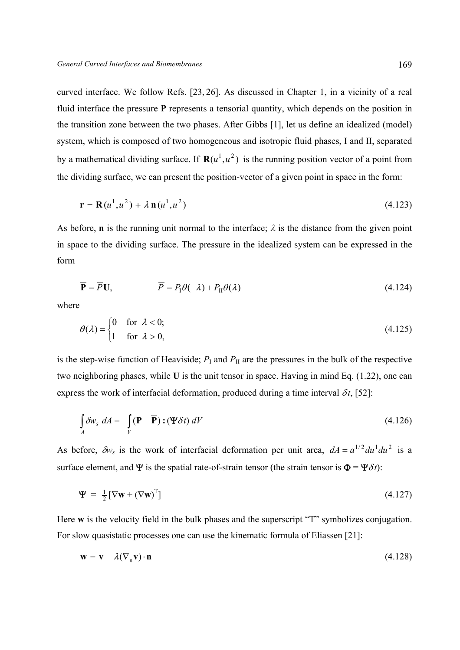curved interface. We follow Refs. [23, 26]. As discussed in Chapter 1, in a vicinity of a real fluid interface the pressure **Р** represents a tensorial quantity, which depends on the position in the transition zone between the two phases. After Gibbs [1], let us define an idealized (model) system, which is composed of two homogeneous and isotropic fluid phases, I and II, separated by a mathematical dividing surface. If  $\mathbf{R}(u^1, u^2)$  is the running position vector of a point from the dividing surface, we can present the position-vector of a given point in space in the form:

$$
\mathbf{r} = \mathbf{R}(u^1, u^2) + \lambda \, \mathbf{n}(u^1, u^2) \tag{4.123}
$$

As before, **n** is the running unit normal to the interface;  $\lambda$  is the distance from the given point in space to the dividing surface. The pressure in the idealized system can be expressed in the form

$$
\overline{\mathbf{P}} = \overline{P}\mathbf{U}, \qquad \qquad \overline{P} = P_1 \theta(-\lambda) + P_{\text{II}} \theta(\lambda) \tag{4.124}
$$

where

$$
\theta(\lambda) = \begin{cases} 0 & \text{for } \lambda < 0; \\ 1 & \text{for } \lambda > 0, \end{cases} \tag{4.125}
$$

is the step-wise function of Heaviside;  $P_{\text{I}}$  and  $P_{\text{II}}$  are the pressures in the bulk of the respective two neighboring phases, while **U** is the unit tensor in space. Having in mind Eq. (1.22), one can express the work of interfacial deformation, produced during a time interval  $\delta t$ , [52]:

$$
\int_{A} \delta w_{s} \ dA = -\int_{V} (\mathbf{P} - \overline{\mathbf{P}}) : (\mathbf{\Psi} \delta t) \ dV
$$
\n(4.126)

As before,  $\delta w_s$  is the work of interfacial deformation per unit area,  $dA = a^{1/2} du^1 du^2$  is a surface element, and  $\Psi$  is the spatial rate-of-strain tensor (the strain tensor is  $\Phi = \Psi \delta t$ ):

$$
\mathbf{\Psi} = \frac{1}{2} [\nabla \mathbf{w} + (\nabla \mathbf{w})^{\mathrm{T}}] \tag{4.127}
$$

Here **w** is the velocity field in the bulk phases and the superscript "T" symbolizes conjugation. For slow quasistatic processes one can use the kinematic formula of Eliassen [21]:

$$
\mathbf{w} = \mathbf{v} - \lambda (\nabla_s \mathbf{v}) \cdot \mathbf{n} \tag{4.128}
$$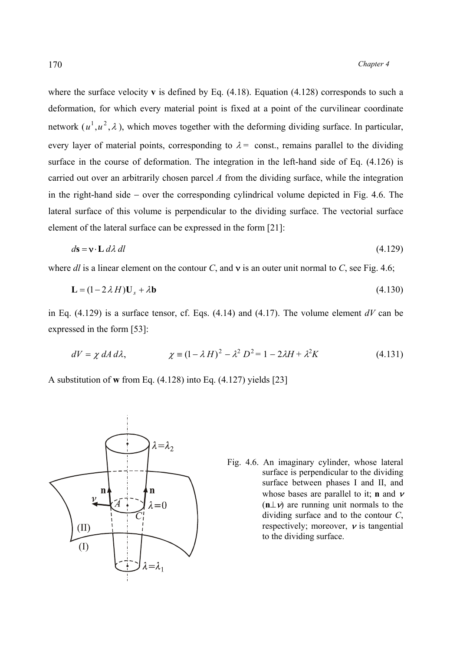where the surface velocity **v** is defined by Eq.  $(4.18)$ . Equation  $(4.128)$  corresponds to such a deformation, for which every material point is fixed at a point of the curvilinear coordinate network  $(u^1, u^2, \lambda)$ , which moves together with the deforming dividing surface. In particular, every layer of material points, corresponding to  $\lambda$  = const., remains parallel to the dividing surface in the course of deformation. The integration in the left-hand side of Eq. (4.126) is

carried out over an arbitrarily chosen parcel *A* from the dividing surface, while the integration in the right-hand side − over the corresponding cylindrical volume depicted in Fig. 4.6. The lateral surface of this volume is perpendicular to the dividing surface. The vectorial surface element of the lateral surface can be expressed in the form [21]:

$$
ds = \mathbf{v} \cdot \mathbf{L} d\lambda dl \tag{4.129}
$$

where *dl* is a linear element on the contour *C*, and ν is an outer unit normal to *C*, see Fig. 4.6;

$$
\mathbf{L} = (1 - 2\lambda H)\mathbf{U}_s + \lambda \mathbf{b} \tag{4.130}
$$

in Eq. (4.129) is a surface tensor, cf. Eqs. (4.14) and (4.17). The volume element *dV* can be expressed in the form [53]:

$$
dV = \chi \, dA \, d\lambda, \qquad \qquad \chi \equiv (1 - \lambda \, H)^2 - \lambda^2 \, D^2 = 1 - 2\lambda H + \lambda^2 K \tag{4.131}
$$

A substitution of **w** from Eq. (4.128) into Eq. (4.127) yields [23]



Fig. 4.6. An imaginary cylinder, whose lateral surface is perpendicular to the dividing surface between phases I and II, and whose bases are parallel to it; **n** and <sup>ν</sup> (**n**⊥ν) are running unit normals to the dividing surface and to the contour *C*, respectively; moreover,  $\nu$  is tangential to the dividing surface.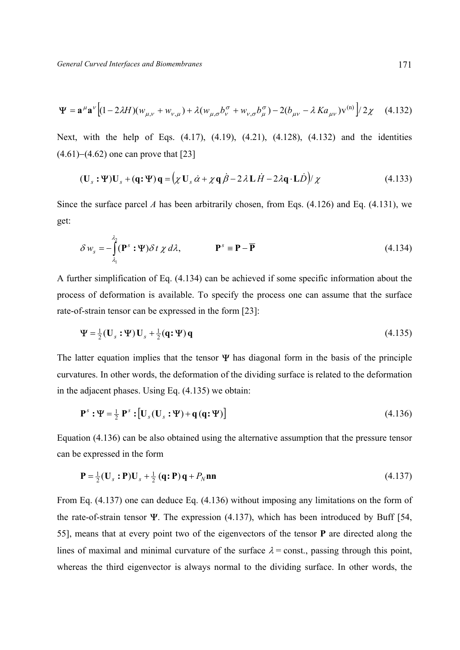$$
\Psi = \mathbf{a}^{\mu} \mathbf{a}^{\nu} \Big[ (1 - 2\lambda H)(w_{\mu,\nu} + w_{\nu,\mu}) + \lambda (w_{\mu,\sigma} b_{\nu}^{\sigma} + w_{\nu,\sigma} b_{\mu}^{\sigma}) - 2(b_{\mu\nu} - \lambda K a_{\mu\nu}) v^{(n)} \Big] / 2\chi \quad (4.132)
$$

Next, with the help of Eqs. (4.17), (4.19), (4.21), (4.128), (4.132) and the identities (4.61)−(4.62) one can prove that [23]

$$
(\mathbf{U}_s : \mathbf{\Psi}) \mathbf{U}_s + (\mathbf{q} : \mathbf{\Psi}) \mathbf{q} = (\chi \mathbf{U}_s \dot{\alpha} + \chi \mathbf{q} \dot{\beta} - 2\lambda \mathbf{L} \dot{H} - 2\lambda \mathbf{q} \cdot \mathbf{L} \dot{D}) / \chi
$$
(4.133)

Since the surface parcel *A* has been arbitrarily chosen, from Eqs. (4.126) and Eq. (4.131), we get:

$$
\delta w_s = -\int_{\lambda_1}^{\lambda_2} (\mathbf{P}^s \cdot \mathbf{\Psi}) \delta t \chi d\lambda, \qquad \mathbf{P}^s = \mathbf{P} - \overline{\mathbf{P}} \qquad (4.134)
$$

A further simplification of Eq. (4.134) can be achieved if some specific information about the process of deformation is available. To specify the process one can assume that the surface rate-of-strain tensor can be expressed in the form [23]:

$$
\Psi = \frac{1}{2}(\mathbf{U}_s : \Psi) \mathbf{U}_s + \frac{1}{2}(\mathbf{q} : \Psi) \mathbf{q}
$$
\n(4.135)

The latter equation implies that the tensor  $\Psi$  has diagonal form in the basis of the principle curvatures. In other words, the deformation of the dividing surface is related to the deformation in the adjacent phases. Using Eq. (4.135) we obtain:

$$
\mathbf{P}^s : \mathbf{\Psi} = \frac{1}{2} \mathbf{P}^s : \left[ \mathbf{U}_s (\mathbf{U}_s : \mathbf{\Psi}) + \mathbf{q} (\mathbf{q} : \mathbf{\Psi}) \right] \tag{4.136}
$$

Equation (4.136) can be also obtained using the alternative assumption that the pressure tensor can be expressed in the form

$$
\mathbf{P} = \frac{1}{2}(\mathbf{U}_s \cdot \mathbf{P})\mathbf{U}_s + \frac{1}{2}(\mathbf{q} \cdot \mathbf{P})\mathbf{q} + P_N \mathbf{n} \mathbf{n} \tag{4.137}
$$

From Eq. (4.137) one can deduce Eq. (4.136) without imposing any limitations on the form of the rate-of-strain tensor  $\Psi$ . The expression (4.137), which has been introduced by Buff [54, 55], means that at every point two of the eigenvectors of the tensor **P** are directed along the lines of maximal and minimal curvature of the surface  $\lambda$  = const., passing through this point, whereas the third eigenvector is always normal to the dividing surface. In other words, the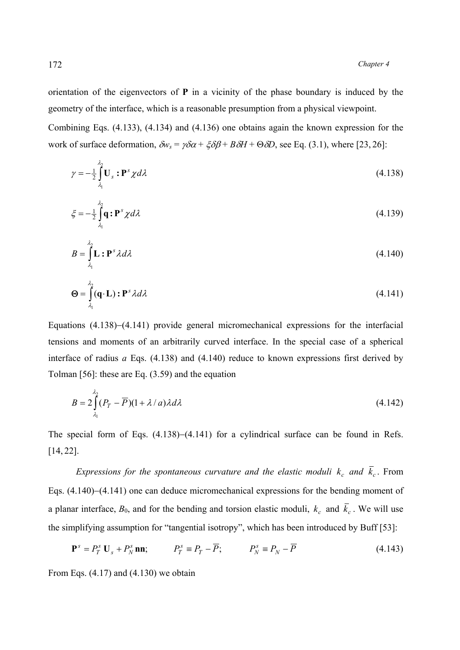orientation of the eigenvectors of **Р** in a vicinity of the phase boundary is induced by the geometry of the interface, which is a reasonable presumption from a physical viewpoint.

Combining Eqs. (4.133), (4.134) and (4.136) one obtains again the known expression for the work of surface deformation,  $\delta w_s = \gamma \delta \alpha + \xi \delta \beta + B \delta H + \Theta \delta D$ , see Eq. (3.1), where [23, 26]:

$$
\gamma = -\frac{1}{2} \int_{\lambda_1}^{\lambda_2} \mathbf{U}_s \, \mathbf{P}^s \, \chi d\lambda \tag{4.138}
$$

$$
\xi = -\frac{1}{2} \int_{\lambda_1}^{\lambda_2} \mathbf{q} : \mathbf{P}^s \chi d\lambda \tag{4.139}
$$

$$
B = \int_{\lambda_1}^{\lambda_2} \mathbf{L} : \mathbf{P}^s \lambda d\lambda \tag{4.140}
$$

$$
\mathbf{\Theta} = \int_{\lambda_1}^{\lambda_2} (\mathbf{q} \cdot \mathbf{L}) \cdot \mathbf{P}^s \lambda d\lambda \tag{4.141}
$$

Equations (4.138)−(4.141) provide general micromechanical expressions for the interfacial tensions and moments of an arbitrarily curved interface. In the special case of a spherical interface of radius *a* Eqs. (4.138) and (4.140) reduce to known expressions first derived by Tolman [56]: these are Eq. (3.59) and the equation

$$
B = 2\int_{\lambda_1}^{\lambda_2} (P_T - \overline{P})(1 + \lambda / a)\lambda d\lambda \tag{4.142}
$$

The special form of Eqs. (4.138)–(4.141) for a cylindrical surface can be found in Refs. [14, 22].

*Expressions for the spontaneous curvature and the elastic moduli*  $k_c$  *and*  $\bar{k}_c$ . From Eqs. (4.140)−(4.141) one can deduce micromechanical expressions for the bending moment of a planar interface,  $B_0$ , and for the bending and torsion elastic moduli,  $k_c$  and  $\bar{k}_c$ . We will use the simplifying assumption for "tangential isotropy", which has been introduced by Buff [53]:

$$
\mathbf{P}^{s} = P_{T}^{s} \mathbf{U}_{s} + P_{N}^{s} \mathbf{n} \mathbf{n}; \qquad P_{T}^{s} \equiv P_{T} - \overline{P}; \qquad P_{N}^{s} \equiv P_{N} - \overline{P} \qquad (4.143)
$$

From Eqs.  $(4.17)$  and  $(4.130)$  we obtain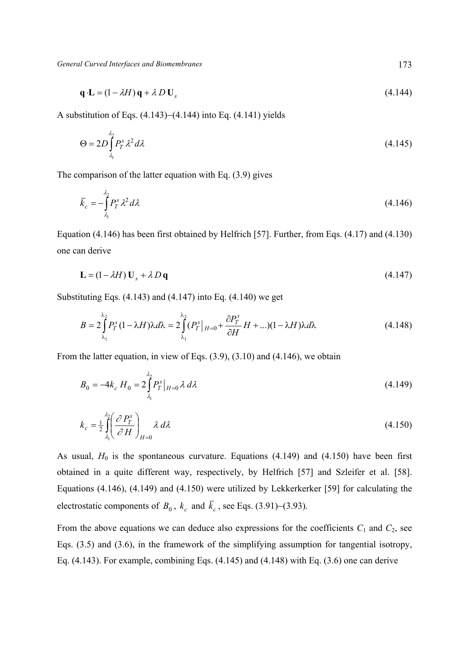$$
\mathbf{q} \cdot \mathbf{L} = (1 - \lambda H) \mathbf{q} + \lambda D \mathbf{U}_s \tag{4.144}
$$

A substitution of Eqs. (4.143)−(4.144) into Eq. (4.141) yields

$$
\Theta = 2D \int_{\lambda_1}^{\lambda_2} P_T^s \lambda^2 d\lambda \tag{4.145}
$$

The comparison of the latter equation with Eq. (3.9) gives

$$
\overline{k}_c = -\int_{\lambda_1}^{\lambda_2} P_T^s \lambda^2 d\lambda \tag{4.146}
$$

Equation (4.146) has been first obtained by Helfrich [57]. Further, from Eqs. (4.17) and (4.130) one can derive

$$
\mathbf{L} = (1 - \lambda H) \mathbf{U}_s + \lambda D \mathbf{q} \tag{4.147}
$$

Substituting Eqs.  $(4.143)$  and  $(4.147)$  into Eq.  $(4.140)$  we get

$$
B = 2\int_{\lambda_1}^{\lambda_2} P_T^s (1 - \lambda H) \lambda d\lambda = 2\int_{\lambda_1}^{\lambda_2} (P_T^s|_{H=0} + \frac{\partial P_T^s}{\partial H} H + ...)(1 - \lambda H) \lambda d\lambda
$$
 (4.148)

From the latter equation, in view of Eqs. (3.9), (3.10) and (4.146), we obtain

$$
B_0 = -4k_c \, H_0 = 2 \int_{\lambda_1}^{\lambda_2} P_T^s \big|_{H=0} \, \lambda \, d\lambda \tag{4.149}
$$

$$
k_c = \frac{1}{2} \int_{\lambda_1}^{\lambda_2} \left( \frac{\partial P_r^s}{\partial H} \right)_{H=0} \lambda \, d\lambda \tag{4.150}
$$

As usual,  $H_0$  is the spontaneous curvature. Equations (4.149) and (4.150) have been first obtained in a quite different way, respectively, by Helfrich [57] and Szleifer et al. [58]. Equations (4.146), (4.149) and (4.150) were utilized by Lekkerkerker [59] for calculating the electrostatic components of *B*<sub>0</sub>,  $k_c$  and  $\bar{k}_c$ , see Eqs. (3.91)–(3.93).

From the above equations we can deduce also expressions for the coefficients  $C_1$  and  $C_2$ , see Eqs. (3.5) and (3.6), in the framework of the simplifying assumption for tangential isotropy, Eq. (4.143). For example, combining Eqs. (4.145) and (4.148) with Eq. (3.6) one can derive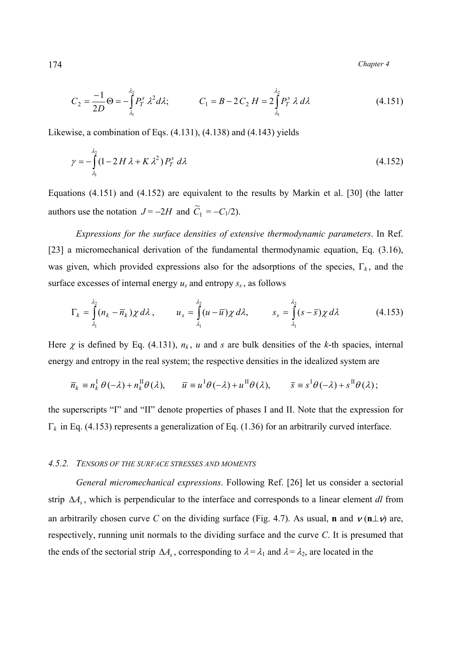174 *Chapter 4* 

$$
C_2 = \frac{-1}{2D} \Theta = -\int_{\lambda_1}^{\lambda_2} P_T^s \lambda^2 d\lambda; \qquad C_1 = B - 2C_2 H = 2 \int_{\lambda_1}^{\lambda_2} P_T^s \lambda d\lambda \qquad (4.151)
$$

Likewise, a combination of Eqs. (4.131), (4.138) and (4.143) yields

$$
\gamma = -\int_{\lambda_1}^{\lambda_2} (1 - 2H\lambda + K\lambda^2) P_T^s \, d\lambda \tag{4.152}
$$

Equations (4.151) and (4.152) are equivalent to the results by Мarkin et al. [30] (the latter authors use the notation  $J = -2H$  and  $\widetilde{C}_1 = -C_1/2$ .

 *Expressions for the surface densities of extensive thermodynamic parameters*. In Ref. [23] a micromechanical derivation of the fundamental thermodynamic equation, Eq. (3.16), was given, which provided expressions also for the adsorptions of the species, Γ*k* , and the surface excesses of internal energy  $u_s$  and entropy  $s_s$ , as follows

$$
\Gamma_k = \int_{\lambda_1}^{\lambda_2} (n_k - \overline{n}_k) \chi \, d\lambda \,, \qquad u_s = \int_{\lambda_1}^{\lambda_2} (u - \overline{u}) \chi \, d\lambda, \qquad s_s = \int_{\lambda_1}^{\lambda_2} (s - \overline{s}) \chi \, d\lambda \tag{4.153}
$$

Here  $\chi$  is defined by Eq. (4.131),  $n_k$ ,  $u$  and  $s$  are bulk densities of the  $k$ -th spacies, internal energy and entropy in the real system; the respective densities in the idealized system are

$$
\overline{n}_k \equiv n_k^{\text{I}} \theta(-\lambda) + n_k^{\text{II}} \theta(\lambda), \qquad \overline{u} \equiv u^{\text{I}} \theta(-\lambda) + u^{\text{II}} \theta(\lambda), \qquad \overline{s} \equiv s^{\text{I}} \theta(-\lambda) + s^{\text{II}} \theta(\lambda);
$$

the superscripts "I" and "II" denote properties of phases I and II. Note that the expression for Γ*k* in Eq. (4.153) represents a generalization of Eq. (1.36) for an arbitrarily curved interface.

#### *4.5.2. TENSORS OF THE SURFACE STRESSES AND MOMENTS*

 *General micromechanical expressions*. Following Ref. [26] let us consider a sectorial strip ∆*As* , which is perpendicular to the interface and corresponds to a linear element *dl* from an arbitrarily chosen curve *C* on the dividing surface (Fig. 4.7). As usual, **n** and  $v(\mathbf{n} \perp \mathbf{v})$  are, respectively, running unit normals to the dividing surface and the curve *C*. It is presumed that the ends of the sectorial strip  $\Delta A_s$ , corresponding to  $\lambda = \lambda_1$  and  $\lambda = \lambda_2$ , are located in the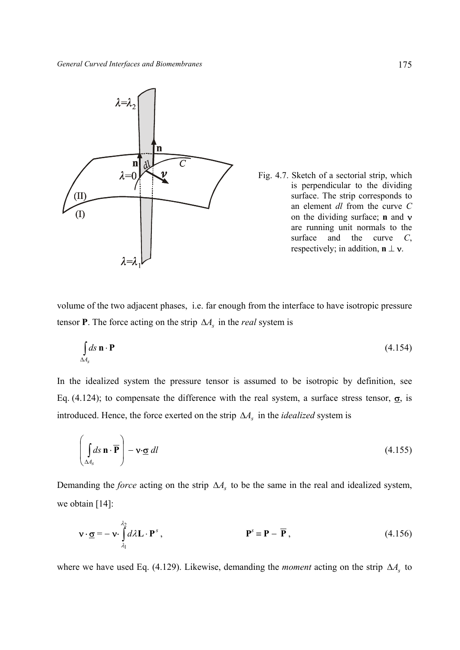

Fig. 4.7. Sketch of a sectorial strip, which is perpendicular to the dividing surface. The strip corresponds to an element *dl* from the curve *С* on the dividing surface; **n** and ν are running unit normals to the surface and the curve *С*, respectively; in addition,  $\mathbf{n} \perp \mathbf{v}$ .

volume of the two adjacent phases, i.e. far enough from the interface to have isotropic pressure tensor **P**. The force acting on the strip  $\Delta A_s$  in the *real* system is

$$
\int_{\Delta A_s} ds \, \mathbf{n} \cdot \mathbf{P} \tag{4.154}
$$

In the idealized system the pressure tensor is assumed to be isotropic by definition, see Eq. (4.124); to compensate the difference with the real system, a surface stress tensor,  $\sigma$ , is introduced. Hence, the force exerted on the strip ∆*As* in the *idealized* system is

$$
\left(\int_{\Delta A_s} ds \,\mathbf{n} \cdot \overline{\mathbf{P}}\right) - \mathbf{v} \cdot \underline{\sigma} dl \tag{4.155}
$$

Demanding the *force* acting on the strip ∆*As* to be the same in the real and idealized system, we obtain [14]:

$$
\mathbf{v} \cdot \underline{\mathbf{\sigma}} = -\mathbf{v} \cdot \int_{\lambda_1}^{\lambda_2} d\lambda \mathbf{L} \cdot \mathbf{P}^s, \qquad \mathbf{P}^s \equiv \mathbf{P} - \overline{\mathbf{P}}, \qquad (4.156)
$$

where we have used Eq. (4.129). Likewise, demanding the *moment* acting on the strip ∆*As* to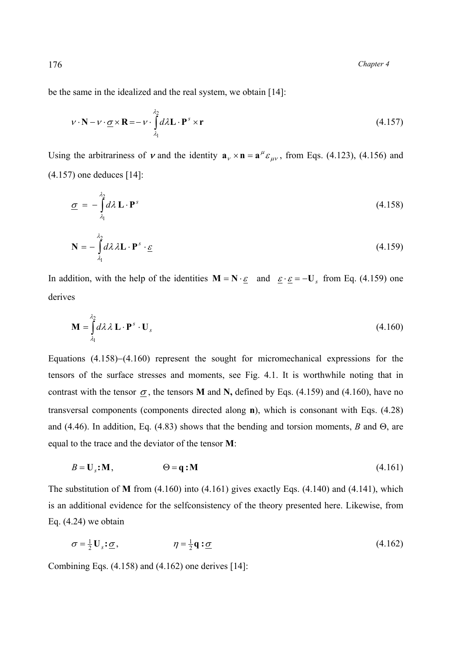be the same in the idealized and the real system, we obtain [14]:

$$
\mathbf{v} \cdot \mathbf{N} - \mathbf{v} \cdot \underline{\boldsymbol{\sigma}} \times \mathbf{R} = -\mathbf{v} \cdot \int_{\lambda_1}^{\lambda_2} d\lambda \mathbf{L} \cdot \mathbf{P}^s \times \mathbf{r}
$$
 (4.157)

Using the arbitrariness of **v** and the identity  $\mathbf{a}_{v} \times \mathbf{n} = \mathbf{a}^{\mu} \varepsilon_{\mu v}$ , from Eqs. (4.123), (4.156) and (4.157) one deduces [14]:

$$
\underline{\sigma} = -\int_{\lambda_1}^{\lambda_2} d\lambda \mathbf{L} \cdot \mathbf{P}^s \tag{4.158}
$$

$$
\mathbf{N} = -\int_{\lambda_1}^{\lambda_2} d\lambda \lambda \mathbf{L} \cdot \mathbf{P}^s \cdot \underline{\varepsilon} \tag{4.159}
$$

In addition, with the help of the identities  $M = N \cdot \underline{\varepsilon}$  and  $\underline{\varepsilon} \cdot \underline{\varepsilon} = -U_s$  from Eq. (4.159) one derives

$$
\mathbf{M} = \int_{\lambda_1}^{\lambda_2} d\lambda \lambda \mathbf{L} \cdot \mathbf{P}^s \cdot \mathbf{U}_s
$$
 (4.160)

Equations (4.158)−(4.160) represent the sought for micromechanical expressions for the tensors of the surface stresses and moments, see Fig. 4.1. It is worthwhile noting that in contrast with the tensor  $\sigma$ , the tensors **M** and **N**, defined by Eqs. (4.159) and (4.160), have no transversal components (components directed along **n**), which is consonant with Eqs. (4.28) and (4.46). In addition, Eq. (4.83) shows that the bending and torsion moments, *B* and Θ, are equal to the trace and the deviator of the tensor **М**:

$$
B = \mathbf{U}_s \mathbf{:} \mathbf{M}, \qquad \Theta = \mathbf{q} \mathbf{:} \mathbf{M} \tag{4.161}
$$

The substitution of **М** from (4.160) into (4.161) gives exactly Eqs. (4.140) and (4.141), which is an additional evidence for the selfconsistency of the theory presented here. Likewise, from Eq.  $(4.24)$  we obtain

$$
\sigma = \frac{1}{2} \mathbf{U}_s \mathbf{:} \underline{\sigma}, \qquad \eta = \frac{1}{2} \mathbf{q} \mathbf{:} \underline{\sigma} \tag{4.162}
$$

Combining Eqs.  $(4.158)$  and  $(4.162)$  one derives [14]: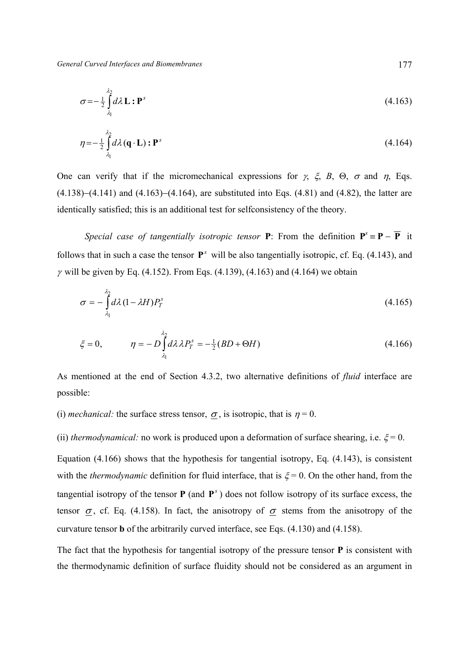$$
\sigma = -\frac{1}{2} \int_{\lambda_1}^{\lambda_2} d\lambda \mathbf{L} : \mathbf{P}^s \tag{4.163}
$$

$$
\eta = -\frac{1}{2} \int_{\lambda_1}^{\lambda_2} d\lambda \left( \mathbf{q} \cdot \mathbf{L} \right) : \mathbf{P}^s \tag{4.164}
$$

One can verify that if the micromechanical expressions for  $\gamma$ ,  $\xi$ ,  $B$ ,  $\Theta$ ,  $\sigma$  and  $\eta$ , Eqs. (4.138)−(4.141) and (4.163)−(4.164), are substituted into Eqs. (4.81) and (4.82), the latter are identically satisfied; this is an additional test for selfconsistency of the theory.

*Special case of tangentially isotropic tensor P: From the definition*  $P^s = P - \overline{P}$  *it* follows that in such a case the tensor  $P^s$  will be also tangentially isotropic, cf. Eq. (4.143), and  $γ$  will be given by Eq. (4.152). From Eqs. (4.139), (4.163) and (4.164) we obtain

$$
\sigma = -\int_{\lambda_1}^{\lambda_2} d\lambda \left(1 - \lambda H\right) P_T^s \tag{4.165}
$$

$$
\xi = 0, \qquad \eta = -D \int_{\lambda_1}^{\lambda_2} d\lambda \lambda P_T^s = -\frac{1}{2} (BD + \Theta H) \tag{4.166}
$$

As mentioned at the end of Section 4.3.2, two alternative definitions of *fluid* interface are possible:

(i) *mechanical:* the surface stress tensor,  $\sigma$ , is isotropic, that is  $\eta = 0$ .

(ii) *thermodynamical:* no work is produced upon a deformation of surface shearing, i.e.  $\xi = 0$ .

Equation (4.166) shows that the hypothesis for tangential isotropy, Eq. (4.143), is consistent with the *thermodynamic* definition for fluid interface, that is  $\xi = 0$ . On the other hand, from the tangential isotropy of the tensor  $P$  (and  $P^s$ ) does not follow isotropy of its surface excess, the tensor  $\sigma$ , cf. Eq. (4.158). In fact, the anisotropy of  $\sigma$  stems from the anisotropy of the curvature tensor **b** of the arbitrarily curved interface, see Eqs. (4.130) and (4.158).

The fact that the hypothesis for tangential isotropy of the pressure tensor **Р** is consistent with the thermodynamic definition of surface fluidity should not be considered as an argument in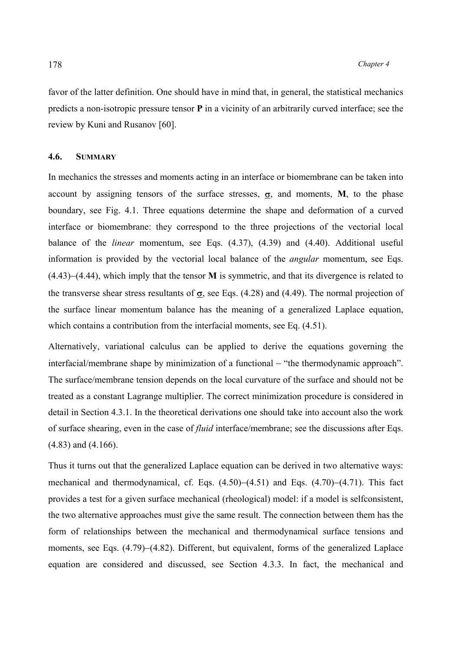favor of the latter definition. One should have in mind that, in general, the statistical mechanics predicts a non-isotropic pressure tensor **P** in a vicinity of an arbitrarily curved interface; see the review by Kuni and Rusanov [60].

# **4.6. SUMMARY**

In mechanics the stresses and moments acting in an interface or biomembrane can be taken into account by assigning tensors of the surface stresses,  $\sigma$ , and moments, **M**, to the phase boundary, see Fig. 4.1. Three equations determine the shape and deformation of a curved interface or biomembrane: they correspond to the three projections of the vectorial local balance of the *linear* momentum, see Eqs. (4.37), (4.39) and (4.40). Additional useful information is provided by the vectorial local balance of the *angular* momentum, see Eqs. (4.43)−(4.44), which imply that the tensor **M** is symmetric, and that its divergence is related to the transverse shear stress resultants of  $\sigma$ , see Eqs. (4.28) and (4.49). The normal projection of the surface linear momentum balance has the meaning of a generalized Laplace equation, which contains a contribution from the interfacial moments, see Eq.  $(4.51)$ .

Alternatively, variational calculus can be applied to derive the equations governing the interfacial/membrane shape by minimization of a functional − "the thermodynamic approach". The surface/membrane tension depends on the local curvature of the surface and should not be treated as a constant Lagrange multiplier. The correct minimization procedure is considered in detail in Section 4.3.1. In the theoretical derivations one should take into account also the work of surface shearing, even in the case of *fluid* interface/membrane; see the discussions after Eqs. (4.83) and (4.166).

Thus it turns out that the generalized Laplace equation can be derived in two alternative ways: mechanical and thermodynamical, cf. Eqs. (4.50)−(4.51) and Eqs. (4.70)−(4.71). This fact provides a test for a given surface mechanical (rheological) model: if a model is selfconsistent, the two alternative approaches must give the same result. The connection between them has the form of relationships between the mechanical and thermodynamical surface tensions and moments, see Eqs. (4.79)−(4.82). Different, but equivalent, forms of the generalized Laplace equation are considered and discussed, see Section 4.3.3. In fact, the mechanical and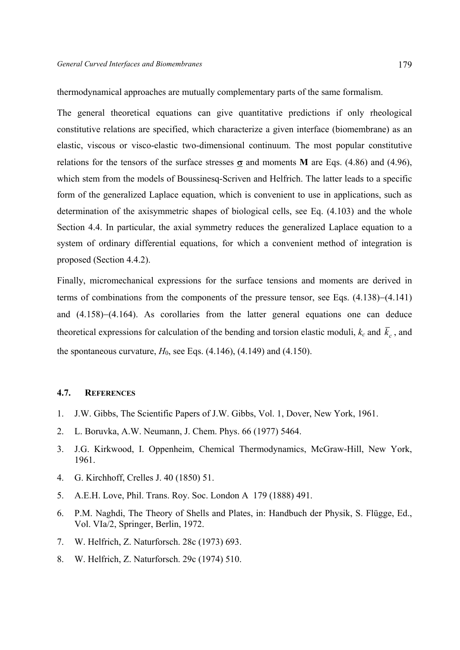thermodynamical approaches are mutually complementary parts of the same formalism.

The general theoretical equations can give quantitative predictions if only rheological constitutive relations are specified, which characterize a given interface (biomembrane) as an elastic, viscous or visco-elastic two-dimensional continuum. The most popular constitutive relations for the tensors of the surface stresses  $\sigma$  and moments **M** are Eqs. (4.86) and (4.96), which stem from the models of Boussinesq-Scriven and Helfrich. The latter leads to a specific form of the generalized Laplace equation, which is convenient to use in applications, such as determination of the axisymmetric shapes of biological cells, see Eq. (4.103) and the whole Section 4.4. In particular, the axial symmetry reduces the generalized Laplace equation to a system of ordinary differential equations, for which a convenient method of integration is proposed (Section 4.4.2).

Finally, micromechanical expressions for the surface tensions and moments are derived in terms of combinations from the components of the pressure tensor, see Eqs. (4.138)−(4.141) and (4.158)−(4.164). As corollaries from the latter general equations one can deduce theoretical expressions for calculation of the bending and torsion elastic moduli,  $k_c$  and  $\bar{k}_c$ , and the spontaneous curvature,  $H_0$ , see Eqs.  $(4.146)$ ,  $(4.149)$  and  $(4.150)$ .

# **4.7. REFERENCES**

- 1. J.W. Gibbs, The Scientific Papers of J.W. Gibbs, Vol. 1, Dover, New York, 1961.
- 2. L. Boruvka, A.W. Neumann, J. Chem. Phys. 66 (1977) 5464.
- 3. J.G. Kirkwood, I. Oppenheim, Chemical Thermodynamics, McGraw-Hill, New York, 1961.
- 4. G. Kirchhoff, Crelles J. 40 (1850) 51.
- 5. A.E.H. Love, Phil. Trans. Roy. Soc. London A 179 (1888) 491.
- 6. P.M. Naghdi, The Theory of Shells and Plates, in: Handbuch der Physik, S. Flügge, Ed., Vol. VIa/2, Springer, Berlin, 1972.
- 7. W. Helfrich, Z. Naturforsch. 28c (1973) 693.
- 8. W. Helfrich, Z. Naturforsch. 29c (1974) 510.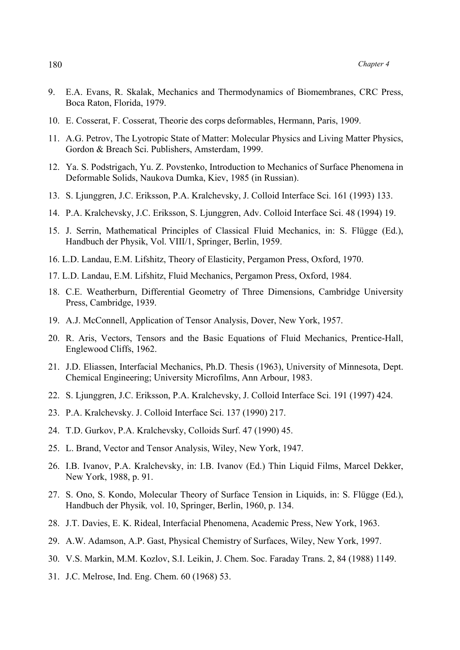- 9. E.A. Evans, R. Skalak, Mechanics and Thermodynamics of Biomembranes, CRC Press, Boca Raton, Florida, 1979.
- 10. E. Cosserat, F. Cosserat, Theorie des corps deformables, Hermann, Paris, 1909.
- 11. A.G. Petrov, The Lyotropic State of Matter: Molecular Physics and Living Matter Physics, Gordon & Breach Sci. Publishers, Amsterdam, 1999.
- 12. Ya. S. Podstrigach, Yu. Z. Povstenko, Introduction to Mechanics of Surface Phenomena in Deformable Solids, Naukova Dumka, Kiev, 1985 (in Russian).
- 13. S. Ljunggren, J.C. Eriksson, P.A. Kralchevsky, J. Colloid Interface Sci. 161 (1993) 133.
- 14. P.A. Kralchevsky, J.C. Eriksson, S. Ljunggren, Adv. Colloid Interface Sci. 48 (1994) 19.
- 15. J. Serrin, Mathematical Principles of Classical Fluid Mechanics, in: S. Flügge (Ed.), Handbuch der Physik, Vol. VIII/1, Springer, Berlin, 1959.
- 16. L.D. Landau, E.M. Lifshitz, Theory of Elasticity, Pergamon Press, Oxford, 1970.
- 17. L.D. Landau, E.M. Lifshitz, Fluid Mechanics, Pergamon Press, Oxford, 1984.
- 18. C.E. Weatherburn, Differential Geometry of Three Dimensions, Cambridge University Press, Cambridge, 1939.
- 19. A.J. McConnell, Application of Tensor Analysis, Dover, New York, 1957.
- 20. R. Aris, Vectors, Tensors and the Basic Equations of Fluid Mechanics, Prentice-Hall, Englewood Cliffs, 1962.
- 21. J.D. Eliassen, Interfacial Mechanics, Ph.D. Thesis (1963), University of Minnesota, Dept. Chemical Engineering; University Microfilms, Ann Arbour, 1983.
- 22. S. Ljunggren, J.C. Eriksson, P.A. Kralchevsky, J. Colloid Interface Sci. 191 (1997) 424.
- 23. P.A. Kralchevsky. J. Colloid Interface Sci. 137 (1990) 217.
- 24. T.D. Gurkov, P.A. Kralchevsky, Colloids Surf. 47 (1990) 45.
- 25. L. Brand, Vector and Tensor Analysis, Wiley, New York, 1947.
- 26. I.B. Ivanov, P.A. Kralchevsky, in: I.B. Ivanov (Ed.) Thin Liquid Films, Marcel Dekker, New York, 1988, p. 91.
- 27. S. Ono, S. Kondo, Molecular Theory of Surface Tension in Liquids, in: S. Flügge (Ed.), Handbuch der Physik*,* vol. 10, Springer, Berlin, 1960, p. 134.
- 28. J.T. Davies, E. K. Rideal, Interfacial Phenomena, Academic Press, New York, 1963.
- 29. A.W. Adamson, A.P. Gast, Physical Chemistry of Surfaces, Wiley, New York, 1997.
- 30. V.S. Markin, M.M. Kozlov, S.I. Leikin, J. Chem. Soc. Faraday Trans. 2, 84 (1988) 1149.
- 31. J.C. Melrose, Ind. Eng. Chem. 60 (1968) 53.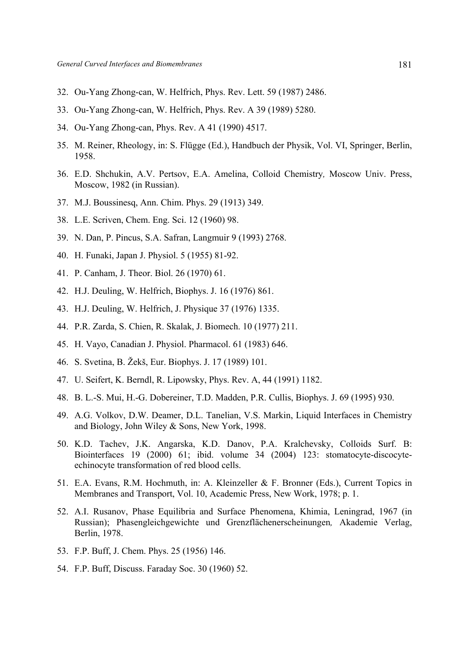- 32. Ou-Yang Zhong-can, W. Helfrich, Phys. Rev. Lett. 59 (1987) 2486.
- 33. Ou-Yang Zhong-can, W. Helfrich, Phys. Rev. A 39 (1989) 5280.
- 34. Ou-Yang Zhong-can, Phys. Rev. A 41 (1990) 4517.
- 35. M. Reiner, Rheology, in: S. Flügge (Ed.), Handbuch der Physik, Vol. VI, Springer, Berlin, 1958.
- 36. E.D. Shchukin, A.V. Pertsov, E.A. Amelina, Colloid Chemistry*,* Moscow Univ. Press, Moscow, 1982 (in Russian).
- 37. M.J. Boussinesq, Ann. Chim. Phys. 29 (1913) 349.
- 38. L.E. Scriven, Chem. Eng. Sci. 12 (1960) 98.
- 39. N. Dan, P. Pincus, S.A. Safran, Langmuir 9 (1993) 2768.
- 40. H. Funaki, Japan J. Physiol. 5 (1955) 81-92.
- 41. P. Canham, J. Theor. Biol. 26 (1970) 61.
- 42. H.J. Deuling, W. Helfrich, Biophys. J. 16 (1976) 861.
- 43. H.J. Deuling, W. Helfrich, J. Physique 37 (1976) 1335.
- 44. P.R. Zarda, S. Chien, R. Skalak, J. Biomech. 10 (1977) 211.
- 45. H. Vayo, Canadian J. Physiol. Pharmacol. 61 (1983) 646.
- 46. S. Svetina, B. Žekš, Eur. Biophys. J. 17 (1989) 101.
- 47. U. Seifert, K. Berndl, R. Lipowsky, Phys. Rev. A, 44 (1991) 1182.
- 48. B. L.-S. Mui, H.-G. Dobereiner, T.D. Madden, P.R. Cullis, Biophys. J. 69 (1995) 930.
- 49. A.G. Volkov, D.W. Deamer, D.L. Tanelian, V.S. Markin, Liquid Interfaces in Chemistry and Biology, John Wiley & Sons, New York, 1998.
- 50. K.D. Tachev, J.K. Angarska, K.D. Danov, P.A. Kralchevsky, Colloids Surf. B: Biointerfaces 19 (2000) 61; ibid. volume 34 (2004) 123: stomatocyte-discocyteechinocyte transformation of red blood cells.
- 51. E.A. Evans, R.M. Hochmuth, in: A. Kleinzeller & F. Bronner (Eds.), Current Topics in Membranes and Transport, Vol. 10, Academic Press, New Work, 1978; p. 1.
- 52. A.I. Rusanov, Phase Equilibria and Surface Phenomena, Khimia, Leningrad, 1967 (in Russian); Phasengleichgewichte und Grenzflächenerscheinungen*,* Akademie Verlag, Berlin, 1978.
- 53. F.P. Buff, J. Chem. Phys. 25 (1956) 146.
- 54. F.P. Buff, Discuss. Faraday Soc. 30 (1960) 52.